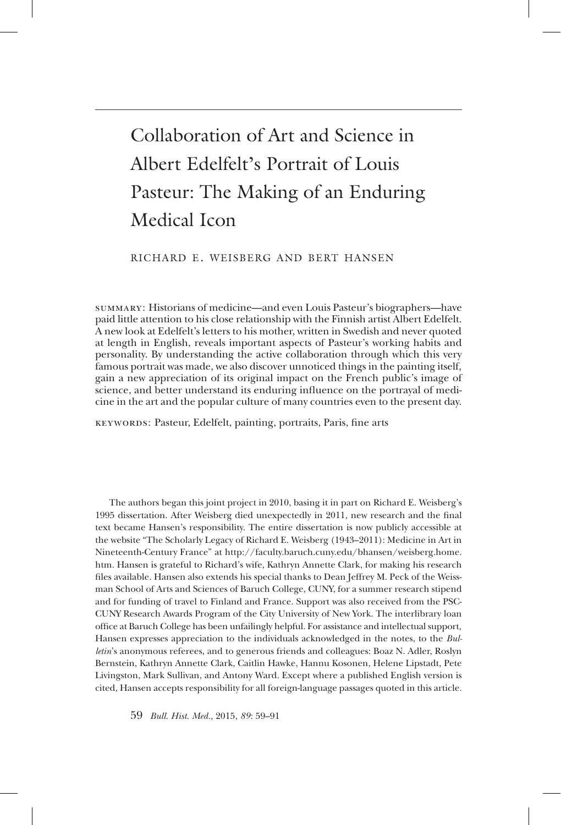# Collaboration of Art and Science in Albert Edelfelt's Portrait of Louis Pasteur: The Making of an Enduring Medical Icon

#### richard e. weisberg and bert hansen

Summary: Historians of medicine—and even Louis Pasteur's biographers—have paid little attention to his close relationship with the Finnish artist Albert Edelfelt. A new look at Edelfelt's letters to his mother, written in Swedish and never quoted at length in English, reveals important aspects of Pasteur's working habits and personality. By understanding the active collaboration through which this very famous portrait was made, we also discover unnoticed things in the painting itself, gain a new appreciation of its original impact on the French public's image of science, and better understand its enduring influence on the portrayal of medicine in the art and the popular culture of many countries even to the present day.

Keywords: Pasteur, Edelfelt, painting, portraits, Paris, fine arts

The authors began this joint project in 2010, basing it in part on Richard E. Weisberg's 1995 dissertation. After Weisberg died unexpectedly in 2011, new research and the final text became Hansen's responsibility. The entire dissertation is now publicly accessible at the website "The Scholarly Legacy of Richard E. Weisberg (1943–2011): Medicine in Art in Nineteenth-Century France" at http://faculty.baruch.cuny.edu/bhansen/weisberg.home. htm. Hansen is grateful to Richard's wife, Kathryn Annette Clark, for making his research files available. Hansen also extends his special thanks to Dean Jeffrey M. Peck of the Weissman School of Arts and Sciences of Baruch College, CUNY, for a summer research stipend and for funding of travel to Finland and France. Support was also received from the PSC-CUNY Research Awards Program of the City University of New York. The interlibrary loan office at Baruch College has been unfailingly helpful. For assistance and intellectual support, Hansen expresses appreciation to the individuals acknowledged in the notes, to the *Bulletin*'s anonymous referees, and to generous friends and colleagues: Boaz N. Adler, Roslyn Bernstein, Kathryn Annette Clark, Caitlin Hawke, Hannu Kosonen, Helene Lipstadt, Pete Livingston, Mark Sullivan, and Antony Ward. Except where a published English version is cited, Hansen accepts responsibility for all foreign-language passages quoted in this article.

59 *Bull. Hist. Med.,* 2015, *89* : 59–91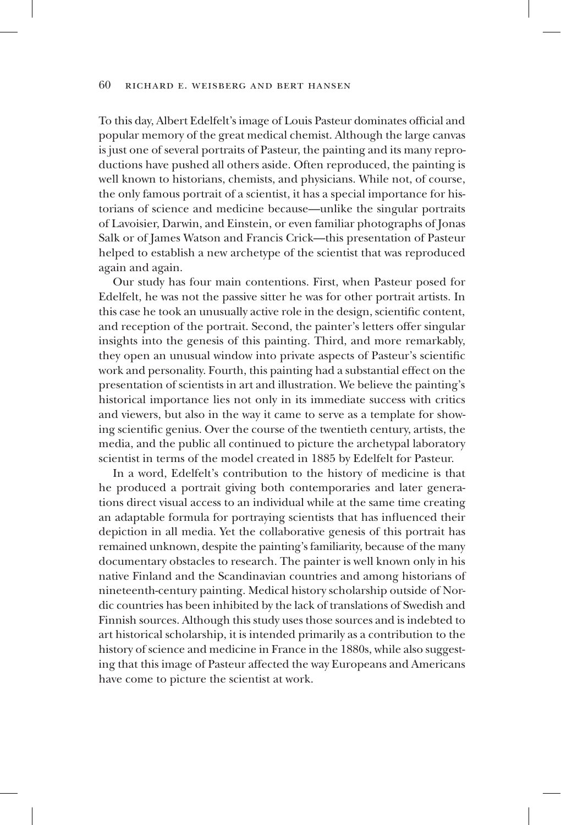To this day, Albert Edelfelt's image of Louis Pasteur dominates official and popular memory of the great medical chemist. Although the large canvas is just one of several portraits of Pasteur, the painting and its many reproductions have pushed all others aside. Often reproduced, the painting is well known to historians, chemists, and physicians. While not, of course, the only famous portrait of a scientist, it has a special importance for historians of science and medicine because—unlike the singular portraits of Lavoisier, Darwin, and Einstein, or even familiar photographs of Jonas Salk or of James Watson and Francis Crick—this presentation of Pasteur helped to establish a new archetype of the scientist that was reproduced again and again.

Our study has four main contentions. First, when Pasteur posed for Edelfelt, he was not the passive sitter he was for other portrait artists. In this case he took an unusually active role in the design, scientific content, and reception of the portrait. Second, the painter's letters offer singular insights into the genesis of this painting. Third, and more remarkably, they open an unusual window into private aspects of Pasteur's scientific work and personality. Fourth, this painting had a substantial effect on the presentation of scientists in art and illustration. We believe the painting's historical importance lies not only in its immediate success with critics and viewers, but also in the way it came to serve as a template for showing scientific genius. Over the course of the twentieth century, artists, the media, and the public all continued to picture the archetypal laboratory scientist in terms of the model created in 1885 by Edelfelt for Pasteur.

In a word, Edelfelt's contribution to the history of medicine is that he produced a portrait giving both contemporaries and later generations direct visual access to an individual while at the same time creating an adaptable formula for portraying scientists that has influenced their depiction in all media. Yet the collaborative genesis of this portrait has remained unknown, despite the painting's familiarity, because of the many documentary obstacles to research. The painter is well known only in his native Finland and the Scandinavian countries and among historians of nineteenth-century painting. Medical history scholarship outside of Nordic countries has been inhibited by the lack of translations of Swedish and Finnish sources. Although this study uses those sources and is indebted to art historical scholarship, it is intended primarily as a contribution to the history of science and medicine in France in the 1880s, while also suggesting that this image of Pasteur affected the way Europeans and Americans have come to picture the scientist at work.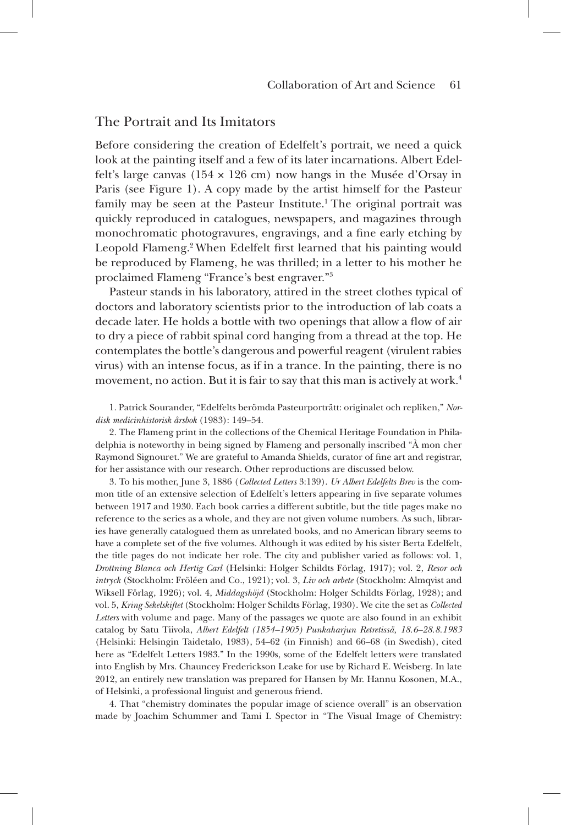## The Portrait and Its Imitators

Before considering the creation of Edelfelt's portrait, we need a quick look at the painting itself and a few of its later incarnations. Albert Edelfelt's large canvas ( $154 \times 126$  cm) now hangs in the Musée d'Orsay in Paris (see Figure 1). A copy made by the artist himself for the Pasteur family may be seen at the Pasteur Institute.<sup>1</sup> The original portrait was quickly reproduced in catalogues, newspapers, and magazines through monochromatic photogravures, engravings, and a fine early etching by Leopold Flameng.<sup>2</sup> When Edelfelt first learned that his painting would be reproduced by Flameng, he was thrilled; in a letter to his mother he proclaimed Flameng "France's best engraver."3

Pasteur stands in his laboratory, attired in the street clothes typical of doctors and laboratory scientists prior to the introduction of lab coats a decade later. He holds a bottle with two openings that allow a flow of air to dry a piece of rabbit spinal cord hanging from a thread at the top. He contemplates the bottle's dangerous and powerful reagent (virulent rabies virus) with an intense focus, as if in a trance. In the painting, there is no movement, no action. But it is fair to say that this man is actively at work.<sup>4</sup>

1. Patrick Sourander, "Edelfelts berömda Pasteurporträtt: originalet och repliken," *Nordisk medicinhistorisk årsbok* (1983): 149–54.

2. The Flameng print in the collections of the Chemical Heritage Foundation in Philadelphia is noteworthy in being signed by Flameng and personally inscribed "À mon cher Raymond Signouret." We are grateful to Amanda Shields, curator of fine art and registrar, for her assistance with our research. Other reproductions are discussed below.

3. To his mother, June 3, 1886 (*Collected Letters* 3:139). *Ur Albert Edelfelts Brev* is the common title of an extensive selection of Edelfelt's letters appearing in five separate volumes between 1917 and 1930. Each book carries a different subtitle, but the title pages make no reference to the series as a whole, and they are not given volume numbers. As such, libraries have generally catalogued them as unrelated books, and no American library seems to have a complete set of the five volumes. Although it was edited by his sister Berta Edelfelt, the title pages do not indicate her role. The city and publisher varied as follows: vol. 1, *Drottning Blanca och Hertig Carl* (Helsinki: Holger Schildts Förlag, 1917); vol. 2, *Resor och intryck* (Stockholm: Fröléen and Co., 1921); vol. 3, *Liv och arbete* (Stockholm: Almqvist and Wiksell Förlag, 1926); vol. 4, *Middagshöjd* (Stockholm: Holger Schildts Förlag, 1928); and vol. 5, *Kring Sekelskiftet* (Stockholm: Holger Schildts Förlag, 1930). We cite the set as *Collected Letters* with volume and page. Many of the passages we quote are also found in an exhibit catalog by Satu Tiivola, *Albert Edelfelt (1854–1905) Punkaharjun Retretissä, 18.6–28.8.1983* (Helsinki: Helsingin Taidetalo, 1983), 54–62 (in Finnish) and 66–68 (in Swedish), cited here as "Edelfelt Letters 1983." In the 1990s, some of the Edelfelt letters were translated into English by Mrs. Chauncey Frederickson Leake for use by Richard E. Weisberg. In late 2012, an entirely new translation was prepared for Hansen by Mr. Hannu Kosonen, M.A., of Helsinki, a professional linguist and generous friend.

4. That "chemistry dominates the popular image of science overall" is an observation made by Joachim Schummer and Tami I. Spector in "The Visual Image of Chemistry: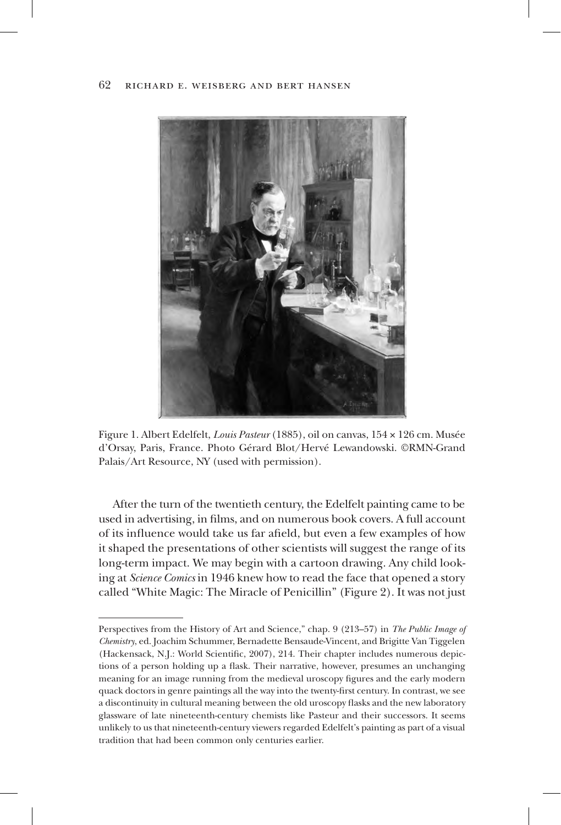

Figure 1. Albert Edelfelt, *Louis Pasteur* (1885), oil on canvas, 154 × 126 cm. Musée d'Orsay, Paris, France. Photo Gérard Blot/Hervé Lewandowski. ©RMN-Grand Palais/Art Resource, NY (used with permission).

After the turn of the twentieth century, the Edelfelt painting came to be used in advertising, in films, and on numerous book covers. A full account of its influence would take us far afield, but even a few examples of how it shaped the presentations of other scientists will suggest the range of its long-term impact. We may begin with a cartoon drawing. Any child looking at *Science Comics* in 1946 knew how to read the face that opened a story called "White Magic: The Miracle of Penicillin" (Figure 2). It was not just

Perspectives from the History of Art and Science," chap. 9 (213–57) in *The Public Image of Chemistry*, ed. Joachim Schummer, Bernadette Bensaude-Vincent, and Brigitte Van Tiggelen (Hackensack, N.J.: World Scientific, 2007), 214. Their chapter includes numerous depictions of a person holding up a flask. Their narrative, however, presumes an unchanging meaning for an image running from the medieval uroscopy figures and the early modern quack doctors in genre paintings all the way into the twenty-first century. In contrast, we see a discontinuity in cultural meaning between the old uroscopy flasks and the new laboratory glassware of late nineteenth-century chemists like Pasteur and their successors. It seems unlikely to us that nineteenth-century viewers regarded Edelfelt's painting as part of a visual tradition that had been common only centuries earlier.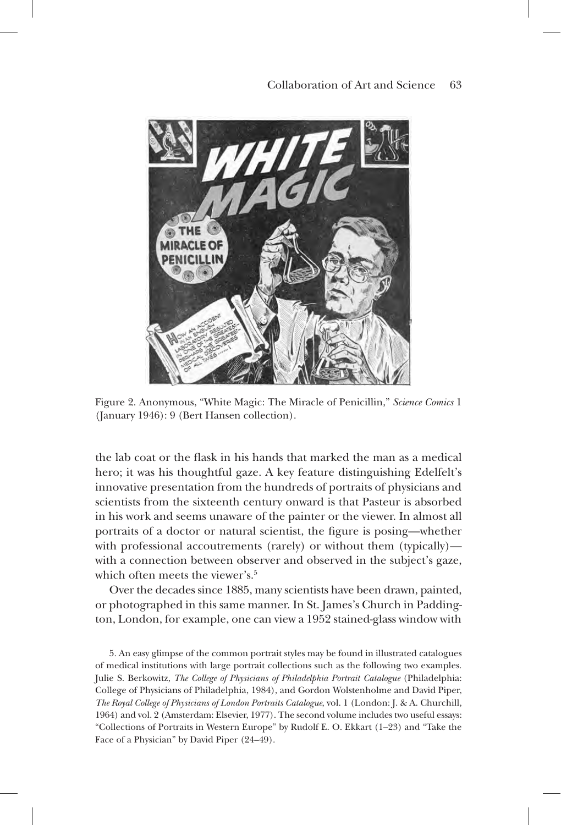

Figure 2. Anonymous, "White Magic: The Miracle of Penicillin," *Science Comics* 1 (January 1946): 9 (Bert Hansen collection).

the lab coat or the flask in his hands that marked the man as a medical hero; it was his thoughtful gaze. A key feature distinguishing Edelfelt's innovative presentation from the hundreds of portraits of physicians and scientists from the sixteenth century onward is that Pasteur is absorbed in his work and seems unaware of the painter or the viewer. In almost all portraits of a doctor or natural scientist, the figure is posing—whether with professional accoutrements (rarely) or without them (typically) with a connection between observer and observed in the subject's gaze, which often meets the viewer's. $5$ 

Over the decades since 1885, many scientists have been drawn, painted, or photographed in this same manner. In St. James's Church in Paddington, London, for example, one can view a 1952 stained-glass window with

5. An easy glimpse of the common portrait styles may be found in illustrated catalogues of medical institutions with large portrait collections such as the following two examples. Julie S. Berkowitz, *The College of Physicians of Philadelphia Portrait Catalogue* (Philadelphia: College of Physicians of Philadelphia, 1984), and Gordon Wolstenholme and David Piper, *The Royal College of Physicians of London Portraits Catalogue*, vol. 1 (London: J. & A. Churchill, 1964) and vol. 2 (Amsterdam: Elsevier, 1977). The second volume includes two useful essays: "Collections of Portraits in Western Europe" by Rudolf E. O. Ekkart (1–23) and "Take the Face of a Physician" by David Piper (24–49).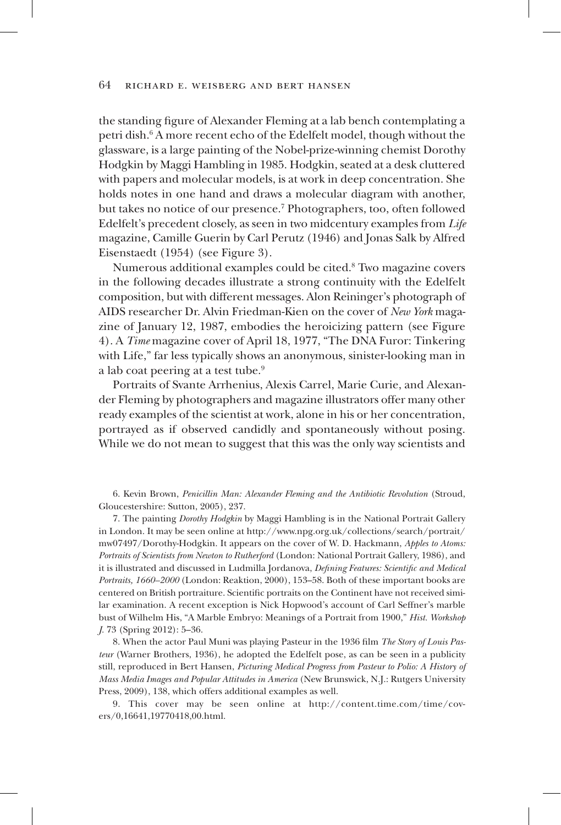the standing figure of Alexander Fleming at a lab bench contemplating a petri dish.<sup>6</sup> A more recent echo of the Edelfelt model, though without the glassware, is a large painting of the Nobel-prize-winning chemist Dorothy Hodgkin by Maggi Hambling in 1985. Hodgkin, seated at a desk cluttered with papers and molecular models, is at work in deep concentration. She holds notes in one hand and draws a molecular diagram with another, but takes no notice of our presence.7 Photographers, too, often followed Edelfelt's precedent closely, as seen in two midcentury examples from *Life* magazine, Camille Guerin by Carl Perutz (1946) and Jonas Salk by Alfred Eisenstaedt (1954) (see Figure 3).

Numerous additional examples could be cited.<sup>8</sup> Two magazine covers in the following decades illustrate a strong continuity with the Edelfelt composition, but with different messages. Alon Reininger's photograph of AIDS researcher Dr. Alvin Friedman-Kien on the cover of *New York* magazine of January 12, 1987, embodies the heroicizing pattern (see Figure 4). A *Time* magazine cover of April 18, 1977, "The DNA Furor: Tinkering with Life," far less typically shows an anonymous, sinister-looking man in a lab coat peering at a test tube.<sup>9</sup>

Portraits of Svante Arrhenius, Alexis Carrel, Marie Curie, and Alexander Fleming by photographers and magazine illustrators offer many other ready examples of the scientist at work, alone in his or her concentration, portrayed as if observed candidly and spontaneously without posing. While we do not mean to suggest that this was the only way scientists and

6. Kevin Brown, *Penicillin Man: Alexander Fleming and the Antibiotic Revolution* (Stroud, Gloucestershire: Sutton, 2005), 237.

7. The painting *Dorothy Hodgkin* by Maggi Hambling is in the National Portrait Gallery in London. It may be seen online at http://www.npg.org.uk/collections/search/portrait/ mw07497/Dorothy-Hodgkin. It appears on the cover of W. D. Hackmann, *Apples to Atoms: Portraits of Scientists from Newton to Rutherford* (London: National Portrait Gallery, 1986), and it is illustrated and discussed in Ludmilla Jordanova, *Defining Features: Scientific and Medical Portraits, 1660–2000* (London: Reaktion, 2000), 153–58. Both of these important books are centered on British portraiture. Scientific portraits on the Continent have not received similar examination. A recent exception is Nick Hopwood's account of Carl Seffner's marble bust of Wilhelm His, "A Marble Embryo: Meanings of a Portrait from 1900," *Hist. Workshop J.* 73 (Spring 2012): 5–36.

8. When the actor Paul Muni was playing Pasteur in the 1936 film *The Story of Louis Pasteur* (Warner Brothers, 1936), he adopted the Edelfelt pose, as can be seen in a publicity still, reproduced in Bert Hansen, *Picturing Medical Progress from Pasteur to Polio: A History of Mass Media Images and Popular Attitudes in America* (New Brunswick, N.J.: Rutgers University Press, 2009), 138, which offers additional examples as well.

9. This cover may be seen online at http://content.time.com/time/covers/0,16641,19770418,00.html.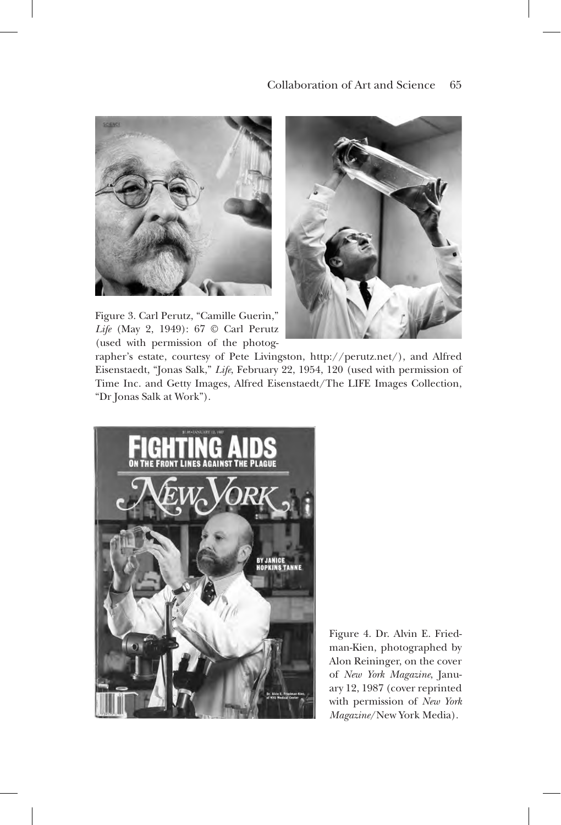

Figure 3. Carl Perutz, "Camille Guerin," *Life* (May 2, 1949): 67 © Carl Perutz (used with permission of the photog-



rapher's estate, courtesy of Pete Livingston, http://perutz.net/), and Alfred Eisenstaedt, "Jonas Salk," *Life*, February 22, 1954, 120 (used with permission of Time Inc. and Getty Images, Alfred Eisenstaedt/The LIFE Images Collection, "Dr Jonas Salk at Work").



Figure 4. Dr. Alvin E. Friedman-Kien, photographed by Alon Reininger, on the cover of *New York Magazine*, January 12, 1987 (cover reprinted with permission of *New York Magazine*/New York Media).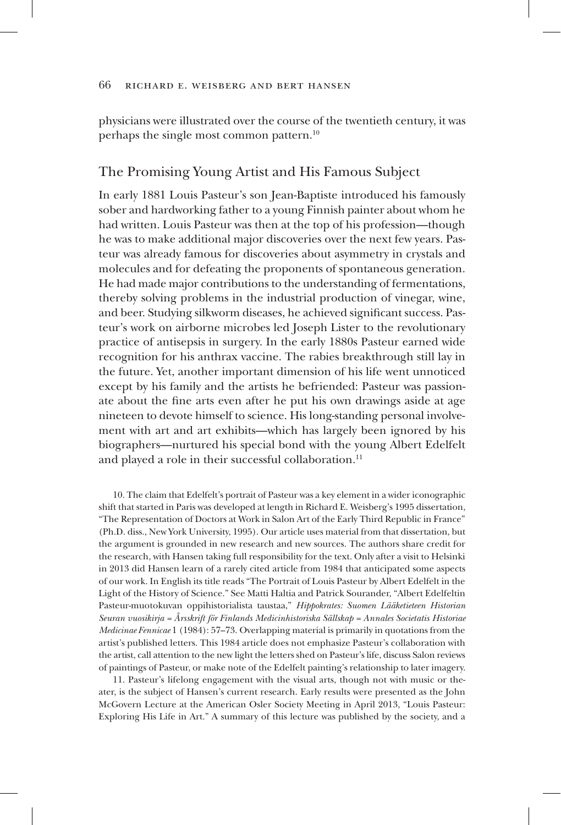physicians were illustrated over the course of the twentieth century, it was perhaps the single most common pattern.10

## The Promising Young Artist and His Famous Subject

In early 1881 Louis Pasteur's son Jean-Baptiste introduced his famously sober and hardworking father to a young Finnish painter about whom he had written. Louis Pasteur was then at the top of his profession—though he was to make additional major discoveries over the next few years. Pasteur was already famous for discoveries about asymmetry in crystals and molecules and for defeating the proponents of spontaneous generation. He had made major contributions to the understanding of fermentations, thereby solving problems in the industrial production of vinegar, wine, and beer. Studying silkworm diseases, he achieved significant success. Pasteur's work on airborne microbes led Joseph Lister to the revolutionary practice of antisepsis in surgery. In the early 1880s Pasteur earned wide recognition for his anthrax vaccine. The rabies breakthrough still lay in the future. Yet, another important dimension of his life went unnoticed except by his family and the artists he befriended: Pasteur was passionate about the fine arts even after he put his own drawings aside at age nineteen to devote himself to science. His long-standing personal involvement with art and art exhibits—which has largely been ignored by his biographers—nurtured his special bond with the young Albert Edelfelt and played a role in their successful collaboration.<sup>11</sup>

10. The claim that Edelfelt's portrait of Pasteur was a key element in a wider iconographic shift that started in Paris was developed at length in Richard E. Weisberg's 1995 dissertation, "The Representation of Doctors at Work in Salon Art of the Early Third Republic in France" (Ph.D. diss., New York University, 1995). Our article uses material from that dissertation, but the argument is grounded in new research and new sources. The authors share credit for the research, with Hansen taking full responsibility for the text. Only after a visit to Helsinki in 2013 did Hansen learn of a rarely cited article from 1984 that anticipated some aspects of our work. In English its title reads "The Portrait of Louis Pasteur by Albert Edelfelt in the Light of the History of Science." See Matti Haltia and Patrick Sourander, "Albert Edelfeltin Pasteur-muotokuvan oppihistorialista taustaa," *Hippokrates: Suomen Lääketieteen Historian Seuran vuosikirja = Årsskrift för Finlands Medicinhistoriska Sällskap = Annales Societatis Historiae Medicinae Fennicae* 1 (1984): 57–73. Overlapping material is primarily in quotations from the artist's published letters. This 1984 article does not emphasize Pasteur's collaboration with the artist, call attention to the new light the letters shed on Pasteur's life, discuss Salon reviews of paintings of Pasteur, or make note of the Edelfelt painting's relationship to later imagery.

11. Pasteur's lifelong engagement with the visual arts, though not with music or theater, is the subject of Hansen's current research. Early results were presented as the John McGovern Lecture at the American Osler Society Meeting in April 2013, "Louis Pasteur: Exploring His Life in Art." A summary of this lecture was published by the society, and a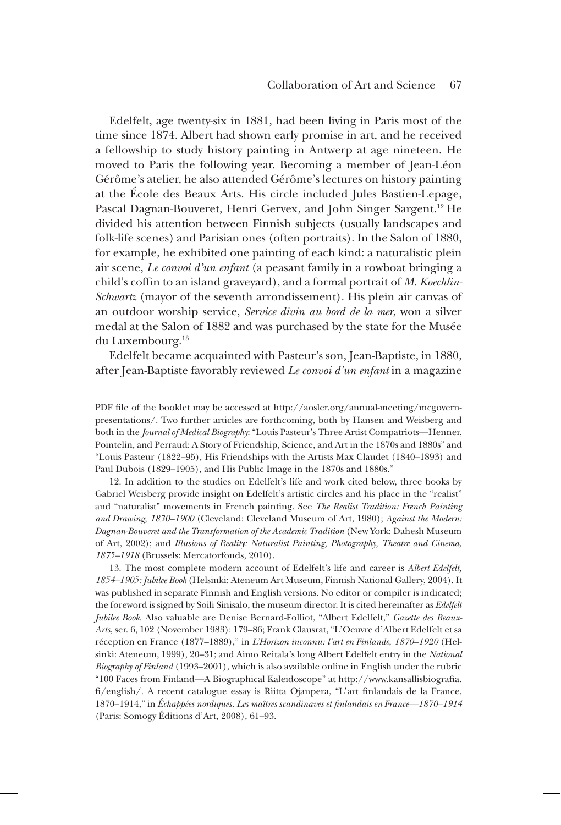Edelfelt, age twenty-six in 1881, had been living in Paris most of the time since 1874. Albert had shown early promise in art, and he received a fellowship to study history painting in Antwerp at age nineteen. He moved to Paris the following year. Becoming a member of Jean-Léon Gérôme's atelier, he also attended Gérôme's lectures on history painting at the École des Beaux Arts. His circle included Jules Bastien-Lepage, Pascal Dagnan-Bouveret, Henri Gervex, and John Singer Sargent.<sup>12</sup> He divided his attention between Finnish subjects (usually landscapes and folk-life scenes) and Parisian ones (often portraits). In the Salon of 1880, for example, he exhibited one painting of each kind: a naturalistic plein air scene, *Le convoi d'un enfant* (a peasant family in a rowboat bringing a child's coffin to an island graveyard), and a formal portrait of *M. Koechlin-Schwartz* (mayor of the seventh arrondissement). His plein air canvas of an outdoor worship service, *Service divin au bord de la mer*, won a silver medal at the Salon of 1882 and was purchased by the state for the Musée du Luxembourg.13

Edelfelt became acquainted with Pasteur's son, Jean-Baptiste, in 1880, after Jean-Baptiste favorably reviewed *Le convoi d'un enfant* in a magazine

PDF file of the booklet may be accessed at http://aosler.org/annual-meeting/mcgovernpresentations/. Two further articles are forthcoming, both by Hansen and Weisberg and both in the *Journal of Medical Biography*: "Louis Pasteur's Three Artist Compatriots—Henner, Pointelin, and Perraud: A Story of Friendship, Science, and Art in the 1870s and 1880s" and "Louis Pasteur (1822–95), His Friendships with the Artists Max Claudet (1840–1893) and Paul Dubois (1829–1905), and His Public Image in the 1870s and 1880s."

<sup>12.</sup> In addition to the studies on Edelfelt's life and work cited below, three books by Gabriel Weisberg provide insight on Edelfelt's artistic circles and his place in the "realist" and "naturalist" movements in French painting. See *The Realist Tradition: French Painting and Drawing, 1830–1900* (Cleveland: Cleveland Museum of Art, 1980); *Against the Modern: Dagnan-Bouveret and the Transformation of the Academic Tradition* (New York: Dahesh Museum of Art, 2002); and *Illusions of Reality: Naturalist Painting, Photography, Theatre and Cinema, 1875–1918* (Brussels: Mercatorfonds, 2010).

<sup>13.</sup> The most complete modern account of Edelfelt's life and career is *Albert Edelfelt, 1854–1905: Jubilee Book* (Helsinki: Ateneum Art Museum, Finnish National Gallery, 2004). It was published in separate Finnish and English versions. No editor or compiler is indicated; the foreword is signed by Soili Sinisalo, the museum director. It is cited hereinafter as *Edelfelt Jubilee Book*. Also valuable are Denise Bernard-Folliot, "Albert Edelfelt," *Gazette des Beaux-Arts*, ser. 6, 102 (November 1983): 179–86; Frank Clausrat, "L'Oeuvre d'Albert Edelfelt et sa réception en France (1877–1889)," in *L'Horizon inconnu: l'art en Finlande, 1870–1920* (Helsinki: Ateneum, 1999), 20–31; and Aimo Reitala's long Albert Edelfelt entry in the *National Biography of Finland* (1993–2001), which is also available online in English under the rubric "100 Faces from Finland—A Biographical Kaleidoscope" at http://www.kansallisbiografia. fi/english/. A recent catalogue essay is Riitta Ojanpera, "L'art finlandais de la France, 1870–1914," in *Échappées nordiques. Les maîtres scandinaves et finlandais en France—1870–1914* (Paris: Somogy Éditions d'Art, 2008), 61–93.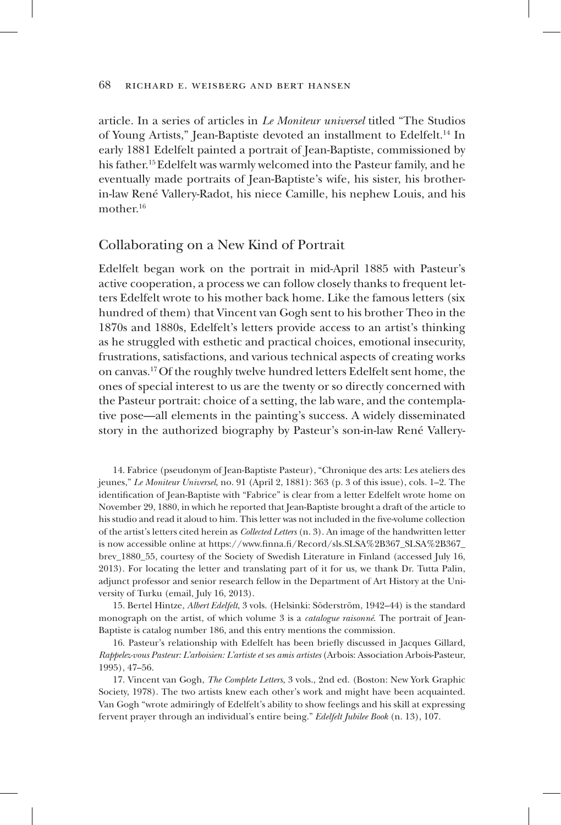article. In a series of articles in *Le Moniteur universel* titled "The Studios of Young Artists," Jean-Baptiste devoted an installment to Edelfelt.14 In early 1881 Edelfelt painted a portrait of Jean-Baptiste, commissioned by his father.15 Edelfelt was warmly welcomed into the Pasteur family, and he eventually made portraits of Jean-Baptiste's wife, his sister, his brotherin-law René Vallery-Radot, his niece Camille, his nephew Louis, and his mother.<sup>16</sup>

## Collaborating on a New Kind of Portrait

Edelfelt began work on the portrait in mid-April 1885 with Pasteur's active cooperation, a process we can follow closely thanks to frequent letters Edelfelt wrote to his mother back home. Like the famous letters (six hundred of them) that Vincent van Gogh sent to his brother Theo in the 1870s and 1880s, Edelfelt's letters provide access to an artist's thinking as he struggled with esthetic and practical choices, emotional insecurity, frustrations, satisfactions, and various technical aspects of creating works on canvas.17 Of the roughly twelve hundred letters Edelfelt sent home, the ones of special interest to us are the twenty or so directly concerned with the Pasteur portrait: choice of a setting, the lab ware, and the contemplative pose—all elements in the painting's success. A widely disseminated story in the authorized biography by Pasteur's son-in-law René Vallery-

14. Fabrice (pseudonym of Jean-Baptiste Pasteur), "Chronique des arts: Les ateliers des jeunes," *Le Moniteur Universel*, no. 91 (April 2, 1881): 363 (p. 3 of this issue), cols. 1–2. The identification of Jean-Baptiste with "Fabrice" is clear from a letter Edelfelt wrote home on November 29, 1880, in which he reported that Jean-Baptiste brought a draft of the article to his studio and read it aloud to him. This letter was not included in the five-volume collection of the artist's letters cited herein as *Collected Letters* (n. 3). An image of the handwritten letter is now accessible online at https://www.finna.fi/Record/sls.SLSA%2B367\_SLSA%2B367\_ brev\_1880\_55, courtesy of the Society of Swedish Literature in Finland (accessed July 16, 2013). For locating the letter and translating part of it for us, we thank Dr. Tutta Palin, adjunct professor and senior research fellow in the Department of Art History at the University of Turku (email, July 16, 2013).

15. Bertel Hintze, *Albert Edelfelt*, 3 vols. (Helsinki: Söderström, 1942–44) is the standard monograph on the artist, of which volume 3 is a *catalogue raisonné*. The portrait of Jean-Baptiste is catalog number 186, and this entry mentions the commission.

16. Pasteur's relationship with Edelfelt has been briefly discussed in Jacques Gillard, *Rappelez-vous Pasteur: L'arboisien: L'artiste et ses amis artistes* (Arbois: Association Arbois-Pasteur, 1995), 47–56.

17. Vincent van Gogh, *The Complete Letters*, 3 vols., 2nd ed. (Boston: New York Graphic Society, 1978). The two artists knew each other's work and might have been acquainted. Van Gogh "wrote admiringly of Edelfelt's ability to show feelings and his skill at expressing fervent prayer through an individual's entire being." *Edelfelt Jubilee Book* (n. 13), 107.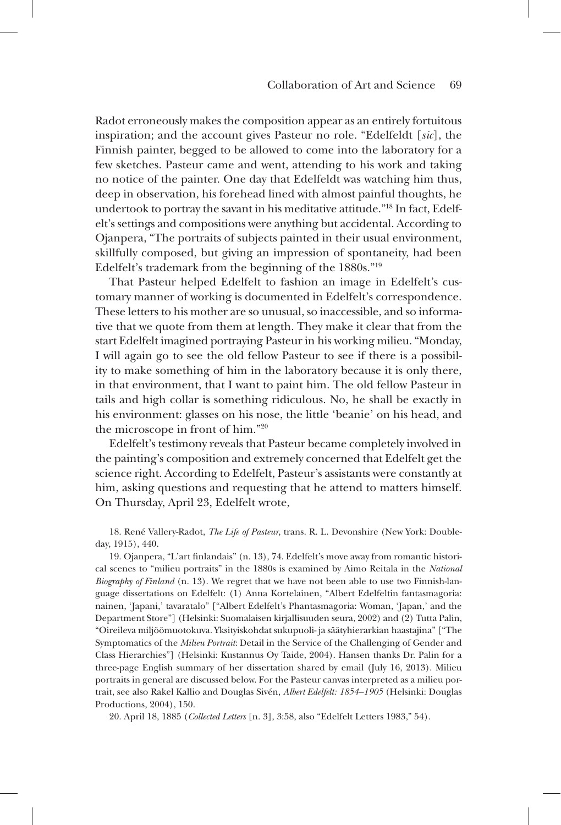Radot erroneously makes the composition appear as an entirely fortuitous inspiration; and the account gives Pasteur no role. "Edelfeldt [*sic*], the Finnish painter, begged to be allowed to come into the laboratory for a few sketches. Pasteur came and went, attending to his work and taking no notice of the painter. One day that Edelfeldt was watching him thus, deep in observation, his forehead lined with almost painful thoughts, he undertook to portray the savant in his meditative attitude."18 In fact, Edelfelt's settings and compositions were anything but accidental. According to Ojanpera, "The portraits of subjects painted in their usual environment, skillfully composed, but giving an impression of spontaneity, had been Edelfelt's trademark from the beginning of the 1880s."19

That Pasteur helped Edelfelt to fashion an image in Edelfelt's customary manner of working is documented in Edelfelt's correspondence. These letters to his mother are so unusual, so inaccessible, and so informative that we quote from them at length. They make it clear that from the start Edelfelt imagined portraying Pasteur in his working milieu. "Monday, I will again go to see the old fellow Pasteur to see if there is a possibility to make something of him in the laboratory because it is only there, in that environment, that I want to paint him. The old fellow Pasteur in tails and high collar is something ridiculous. No, he shall be exactly in his environment: glasses on his nose, the little 'beanie' on his head, and the microscope in front of him."20

Edelfelt's testimony reveals that Pasteur became completely involved in the painting's composition and extremely concerned that Edelfelt get the science right. According to Edelfelt, Pasteur's assistants were constantly at him, asking questions and requesting that he attend to matters himself. On Thursday, April 23, Edelfelt wrote,

18. René Vallery-Radot, *The Life of Pasteur*, trans. R. L. Devonshire (New York: Doubleday, 1915), 440.

19. Ojanpera, "L'art finlandais" (n. 13), 74. Edelfelt's move away from romantic historical scenes to "milieu portraits" in the 1880s is examined by Aimo Reitala in the *National Biography of Finland* (n. 13). We regret that we have not been able to use two Finnish-language dissertations on Edelfelt: (1) Anna Kortelainen, "Albert Edelfeltin fantasmagoria: nainen, 'Japani,' tavaratalo" ["Albert Edelfelt's Phantasmagoria: Woman, 'Japan,' and the Department Store"] (Helsinki: Suomalaisen kirjallisuuden seura, 2002) and (2) Tutta Palin, "Oireileva miljöömuotokuva. Yksityiskohdat sukupuoli- ja säätyhierarkian haastajina" ["The Symptomatics of the *Milieu Portrait*: Detail in the Service of the Challenging of Gender and Class Hierarchies"] (Helsinki: Kustannus Oy Taide, 2004). Hansen thanks Dr. Palin for a three-page English summary of her dissertation shared by email (July 16, 2013). Milieu portraits in general are discussed below. For the Pasteur canvas interpreted as a milieu portrait, see also Rakel Kallio and Douglas Sivén, *Albert Edelfelt: 1854–1905* (Helsinki: Douglas Productions, 2004), 150.

20. April 18, 1885 (*Collected Letters* [n. 3], 3:58, also "Edelfelt Letters 1983," 54).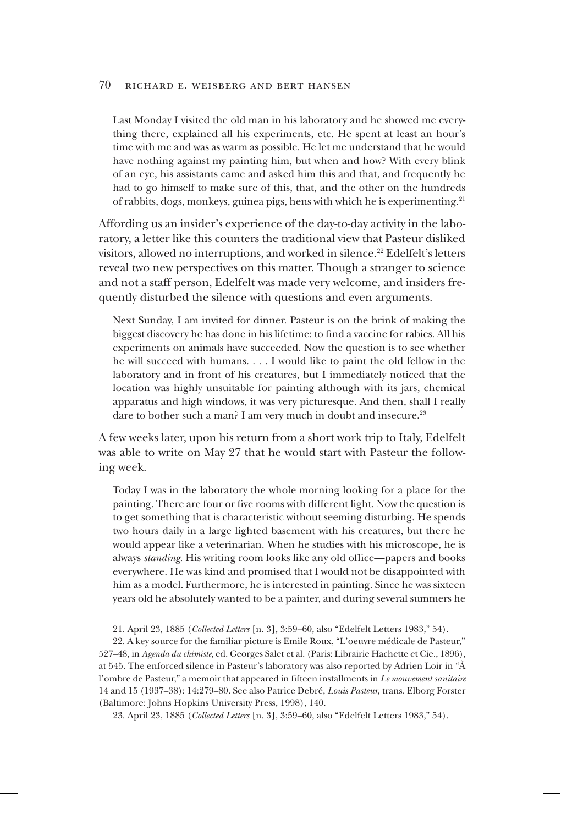Last Monday I visited the old man in his laboratory and he showed me everything there, explained all his experiments, etc. He spent at least an hour's time with me and was as warm as possible. He let me understand that he would have nothing against my painting him, but when and how? With every blink of an eye, his assistants came and asked him this and that, and frequently he had to go himself to make sure of this, that, and the other on the hundreds of rabbits, dogs, monkeys, guinea pigs, hens with which he is experimenting.21

Affording us an insider's experience of the day-to-day activity in the laboratory, a letter like this counters the traditional view that Pasteur disliked visitors, allowed no interruptions, and worked in silence.<sup>22</sup> Edelfelt's letters reveal two new perspectives on this matter. Though a stranger to science and not a staff person, Edelfelt was made very welcome, and insiders frequently disturbed the silence with questions and even arguments.

Next Sunday, I am invited for dinner. Pasteur is on the brink of making the biggest discovery he has done in his lifetime: to find a vaccine for rabies. All his experiments on animals have succeeded. Now the question is to see whether he will succeed with humans. . . . I would like to paint the old fellow in the laboratory and in front of his creatures, but I immediately noticed that the location was highly unsuitable for painting although with its jars, chemical apparatus and high windows, it was very picturesque. And then, shall I really dare to bother such a man? I am very much in doubt and insecure.<sup>23</sup>

A few weeks later, upon his return from a short work trip to Italy, Edelfelt was able to write on May 27 that he would start with Pasteur the following week.

Today I was in the laboratory the whole morning looking for a place for the painting. There are four or five rooms with different light. Now the question is to get something that is characteristic without seeming disturbing. He spends two hours daily in a large lighted basement with his creatures, but there he would appear like a veterinarian. When he studies with his microscope, he is always *standing*. His writing room looks like any old office—papers and books everywhere. He was kind and promised that I would not be disappointed with him as a model. Furthermore, he is interested in painting. Since he was sixteen years old he absolutely wanted to be a painter, and during several summers he

21. April 23, 1885 (*Collected Letters* [n. 3], 3:59–60, also "Edelfelt Letters 1983," 54).

22. A key source for the familiar picture is Emile Roux, "L'oeuvre médicale de Pasteur," 527–48, in *Agenda du chimiste*, ed. Georges Salet et al. (Paris: Librairie Hachette et Cie., 1896), at 545. The enforced silence in Pasteur's laboratory was also reported by Adrien Loir in "À l'ombre de Pasteur," a memoir that appeared in fifteen installments in *Le mouvement sanitaire* 14 and 15 (1937–38): 14:279–80. See also Patrice Debré, *Louis Pasteur*, trans. Elborg Forster (Baltimore: Johns Hopkins University Press, 1998), 140.

23. April 23, 1885 (*Collected Letters* [n. 3], 3:59–60, also "Edelfelt Letters 1983," 54).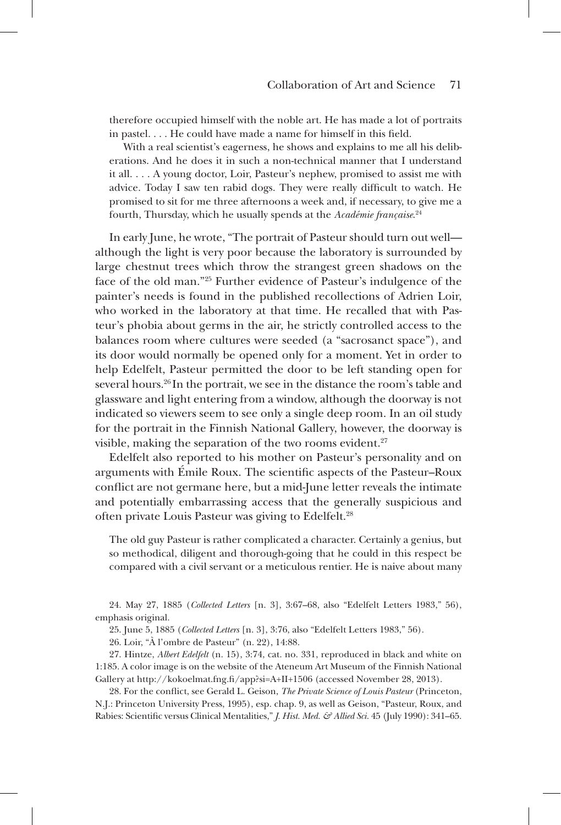therefore occupied himself with the noble art. He has made a lot of portraits in pastel. . . . He could have made a name for himself in this field.

With a real scientist's eagerness, he shows and explains to me all his deliberations. And he does it in such a non-technical manner that I understand it all. . . . A young doctor, Loir, Pasteur's nephew, promised to assist me with advice. Today I saw ten rabid dogs. They were really difficult to watch. He promised to sit for me three afternoons a week and, if necessary, to give me a fourth, Thursday, which he usually spends at the *Académie française*. 24

In early June, he wrote, "The portrait of Pasteur should turn out well although the light is very poor because the laboratory is surrounded by large chestnut trees which throw the strangest green shadows on the face of the old man."25 Further evidence of Pasteur's indulgence of the painter's needs is found in the published recollections of Adrien Loir, who worked in the laboratory at that time. He recalled that with Pasteur's phobia about germs in the air, he strictly controlled access to the balances room where cultures were seeded (a "sacrosanct space"), and its door would normally be opened only for a moment. Yet in order to help Edelfelt, Pasteur permitted the door to be left standing open for several hours.26 In the portrait, we see in the distance the room's table and glassware and light entering from a window, although the doorway is not indicated so viewers seem to see only a single deep room. In an oil study for the portrait in the Finnish National Gallery, however, the doorway is visible, making the separation of the two rooms evident. $27$ 

Edelfelt also reported to his mother on Pasteur's personality and on arguments with Émile Roux. The scientific aspects of the Pasteur–Roux conflict are not germane here, but a mid-June letter reveals the intimate and potentially embarrassing access that the generally suspicious and often private Louis Pasteur was giving to Edelfelt.28

The old guy Pasteur is rather complicated a character. Certainly a genius, but so methodical, diligent and thorough-going that he could in this respect be compared with a civil servant or a meticulous rentier. He is naive about many

24. May 27, 1885 (*Collected Letters* [n. 3], 3:67–68, also "Edelfelt Letters 1983," 56), emphasis original.

25. June 5, 1885 (*Collected Letters* [n. 3], 3:76, also "Edelfelt Letters 1983," 56).

26. Loir, "À l'ombre de Pasteur" (n. 22), 14:88.

27. Hintze, *Albert Edelfelt* (n. 15), 3:74, cat. no. 331, reproduced in black and white on 1:185. A color image is on the website of the Ateneum Art Museum of the Finnish National Gallery at http://kokoelmat.fng.fi/app?si=A+II+1506 (accessed November 28, 2013).

28. For the conflict, see Gerald L. Geison, *The Private Science of Louis Pasteur* (Princeton, N.J.: Princeton University Press, 1995), esp. chap. 9, as well as Geison, "Pasteur, Roux, and Rabies: Scientific versus Clinical Mentalities," *J. Hist. Med. & Allied Sci.* 45 (July 1990): 341–65.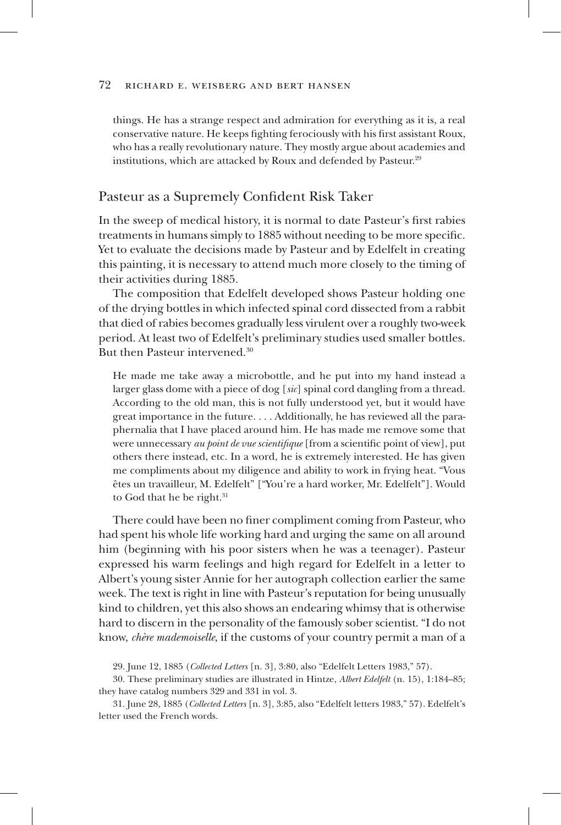things. He has a strange respect and admiration for everything as it is, a real conservative nature. He keeps fighting ferociously with his first assistant Roux, who has a really revolutionary nature. They mostly argue about academies and institutions, which are attacked by Roux and defended by Pasteur.<sup>29</sup>

## Pasteur as a Supremely Confident Risk Taker

In the sweep of medical history, it is normal to date Pasteur's first rabies treatments in humans simply to 1885 without needing to be more specific. Yet to evaluate the decisions made by Pasteur and by Edelfelt in creating this painting, it is necessary to attend much more closely to the timing of their activities during 1885.

The composition that Edelfelt developed shows Pasteur holding one of the drying bottles in which infected spinal cord dissected from a rabbit that died of rabies becomes gradually less virulent over a roughly two-week period. At least two of Edelfelt's preliminary studies used smaller bottles. But then Pasteur intervened.30

He made me take away a microbottle, and he put into my hand instead a larger glass dome with a piece of dog [*sic*] spinal cord dangling from a thread. According to the old man, this is not fully understood yet, but it would have great importance in the future. . . . Additionally, he has reviewed all the paraphernalia that I have placed around him. He has made me remove some that were unnecessary *au point de vue scientifique* [from a scientific point of view], put others there instead, etc. In a word, he is extremely interested. He has given me compliments about my diligence and ability to work in frying heat. "Vous êtes un travailleur, M. Edelfelt" ["You're a hard worker, Mr. Edelfelt"]. Would to God that he be right.<sup>31</sup>

There could have been no finer compliment coming from Pasteur, who had spent his whole life working hard and urging the same on all around him (beginning with his poor sisters when he was a teenager). Pasteur expressed his warm feelings and high regard for Edelfelt in a letter to Albert's young sister Annie for her autograph collection earlier the same week. The text is right in line with Pasteur's reputation for being unusually kind to children, yet this also shows an endearing whimsy that is otherwise hard to discern in the personality of the famously sober scientist. "I do not know, *chère mademoiselle*, if the customs of your country permit a man of a

29. June 12, 1885 (*Collected Letters* [n. 3], 3:80, also "Edelfelt Letters 1983," 57).

<sup>30.</sup> These preliminary studies are illustrated in Hintze, *Albert Edelfelt* (n. 15), 1:184–85; they have catalog numbers 329 and 331 in vol. 3.

<sup>31.</sup> June 28, 1885 (*Collected Letters* [n. 3], 3:85, also "Edelfelt letters 1983," 57). Edelfelt's letter used the French words.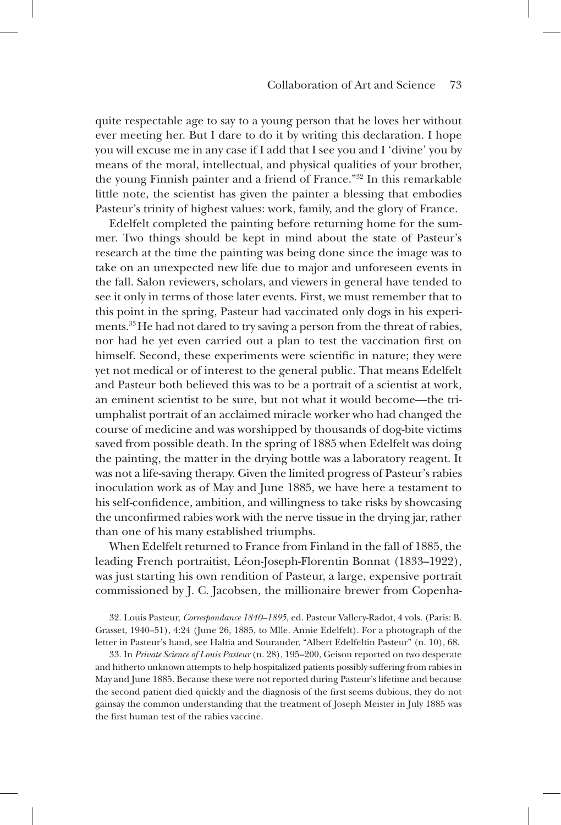quite respectable age to say to a young person that he loves her without ever meeting her. But I dare to do it by writing this declaration. I hope you will excuse me in any case if I add that I see you and I 'divine' you by means of the moral, intellectual, and physical qualities of your brother, the young Finnish painter and a friend of France."32 In this remarkable little note, the scientist has given the painter a blessing that embodies Pasteur's trinity of highest values: work, family, and the glory of France.

Edelfelt completed the painting before returning home for the summer. Two things should be kept in mind about the state of Pasteur's research at the time the painting was being done since the image was to take on an unexpected new life due to major and unforeseen events in the fall. Salon reviewers, scholars, and viewers in general have tended to see it only in terms of those later events. First, we must remember that to this point in the spring, Pasteur had vaccinated only dogs in his experiments.<sup>33</sup> He had not dared to try saving a person from the threat of rabies, nor had he yet even carried out a plan to test the vaccination first on himself. Second, these experiments were scientific in nature; they were yet not medical or of interest to the general public. That means Edelfelt and Pasteur both believed this was to be a portrait of a scientist at work, an eminent scientist to be sure, but not what it would become—the triumphalist portrait of an acclaimed miracle worker who had changed the course of medicine and was worshipped by thousands of dog-bite victims saved from possible death. In the spring of 1885 when Edelfelt was doing the painting, the matter in the drying bottle was a laboratory reagent. It was not a life-saving therapy. Given the limited progress of Pasteur's rabies inoculation work as of May and June 1885, we have here a testament to his self-confidence, ambition, and willingness to take risks by showcasing the unconfirmed rabies work with the nerve tissue in the drying jar, rather than one of his many established triumphs.

When Edelfelt returned to France from Finland in the fall of 1885, the leading French portraitist, Léon-Joseph-Florentin Bonnat (1833–1922), was just starting his own rendition of Pasteur, a large, expensive portrait commissioned by J. C. Jacobsen, the millionaire brewer from Copenha-

32. Louis Pasteur, *Correspondance 1840–1895*, ed. Pasteur Vallery-Radot, 4 vols. (Paris: B. Grasset, 1940–51), 4:24 (June 26, 1885, to Mlle. Annie Edelfelt). For a photograph of the letter in Pasteur's hand, see Haltia and Sourander, "Albert Edelfeltin Pasteur" (n. 10), 68.

33. In *Private Science of Louis Pasteur* (n. 28), 195–200, Geison reported on two desperate and hitherto unknown attempts to help hospitalized patients possibly suffering from rabies in May and June 1885. Because these were not reported during Pasteur's lifetime and because the second patient died quickly and the diagnosis of the first seems dubious, they do not gainsay the common understanding that the treatment of Joseph Meister in July 1885 was the first human test of the rabies vaccine.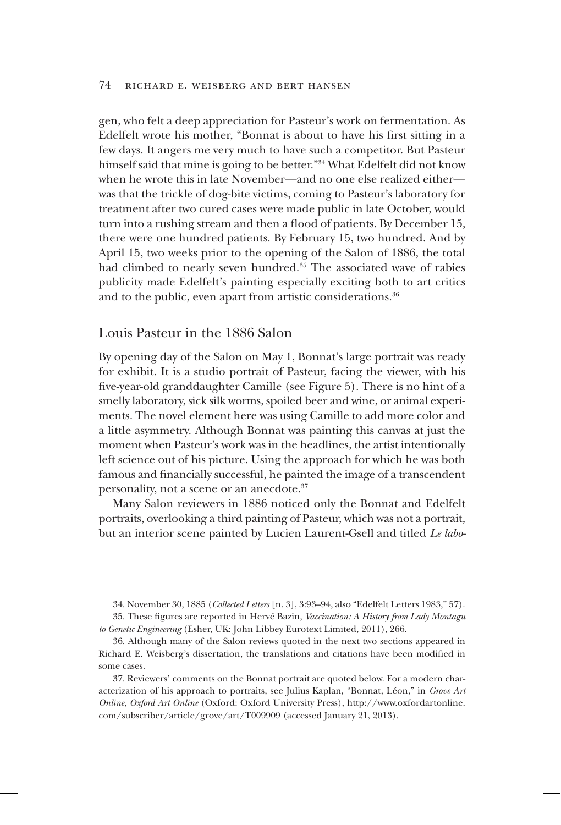gen, who felt a deep appreciation for Pasteur's work on fermentation. As Edelfelt wrote his mother, "Bonnat is about to have his first sitting in a few days. It angers me very much to have such a competitor. But Pasteur himself said that mine is going to be better."34 What Edelfelt did not know when he wrote this in late November—and no one else realized either was that the trickle of dog-bite victims, coming to Pasteur's laboratory for treatment after two cured cases were made public in late October, would turn into a rushing stream and then a flood of patients. By December 15, there were one hundred patients. By February 15, two hundred. And by April 15, two weeks prior to the opening of the Salon of 1886, the total had climbed to nearly seven hundred.<sup>35</sup> The associated wave of rabies publicity made Edelfelt's painting especially exciting both to art critics and to the public, even apart from artistic considerations.<sup>36</sup>

## Louis Pasteur in the 1886 Salon

By opening day of the Salon on May 1, Bonnat's large portrait was ready for exhibit. It is a studio portrait of Pasteur, facing the viewer, with his five-year-old granddaughter Camille (see Figure 5). There is no hint of a smelly laboratory, sick silk worms, spoiled beer and wine, or animal experiments. The novel element here was using Camille to add more color and a little asymmetry. Although Bonnat was painting this canvas at just the moment when Pasteur's work was in the headlines, the artist intentionally left science out of his picture. Using the approach for which he was both famous and financially successful, he painted the image of a transcendent personality, not a scene or an anecdote.37

Many Salon reviewers in 1886 noticed only the Bonnat and Edelfelt portraits, overlooking a third painting of Pasteur, which was not a portrait, but an interior scene painted by Lucien Laurent-Gsell and titled *Le labo-*

<sup>34.</sup> November 30, 1885 (*Collected Letters* [n. 3], 3:93–94, also "Edelfelt Letters 1983," 57).

<sup>35.</sup> These figures are reported in Hervé Bazin, *Vaccination: A History from Lady Montagu to Genetic Engineering* (Esher, UK: John Libbey Eurotext Limited, 2011), 266.

<sup>36.</sup> Although many of the Salon reviews quoted in the next two sections appeared in Richard E. Weisberg's dissertation, the translations and citations have been modified in some cases.

<sup>37.</sup> Reviewers' comments on the Bonnat portrait are quoted below. For a modern characterization of his approach to portraits, see Julius Kaplan, "Bonnat, Léon," in *Grove Art Online, Oxford Art Online* (Oxford: Oxford University Press), http://www.oxfordartonline. com/subscriber/article/grove/art/T009909 (accessed January 21, 2013).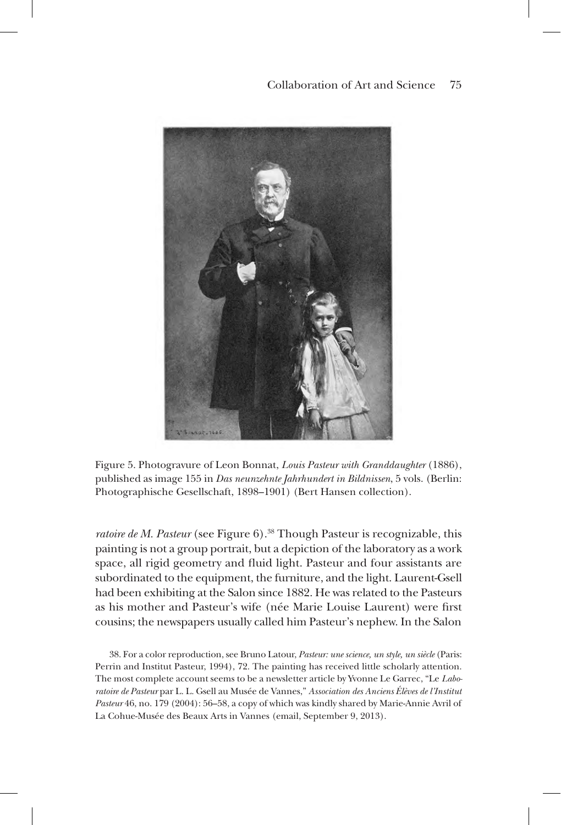## Collaboration of Art and Science 75



Figure 5. Photogravure of Leon Bonnat, *Louis Pasteur with Granddaughter* (1886), published as image 155 in *Das neunzehnte Jahrhundert in Bildnissen*, 5 vols. (Berlin: Photographische Gesellschaft, 1898–1901) (Bert Hansen collection).

*ratoire de M. Pasteur* (see Figure 6).<sup>38</sup> Though Pasteur is recognizable, this painting is not a group portrait, but a depiction of the laboratory as a work space, all rigid geometry and fluid light. Pasteur and four assistants are subordinated to the equipment, the furniture, and the light. Laurent-Gsell had been exhibiting at the Salon since 1882. He was related to the Pasteurs as his mother and Pasteur's wife (née Marie Louise Laurent) were first cousins; the newspapers usually called him Pasteur's nephew. In the Salon

38. For a color reproduction, see Bruno Latour, *Pasteur: une science, un style, un siècle* (Paris: Perrin and Institut Pasteur, 1994), 72. The painting has received little scholarly attention. The most complete account seems to be a newsletter article by Yvonne Le Garrec, "Le *Laboratoire de Pasteur* par L. L. Gsell au Musée de Vannes," *Association des Anciens Élèves de l'Institut Pasteur* 46, no. 179 (2004): 56–58, a copy of which was kindly shared by Marie-Annie Avril of La Cohue-Musée des Beaux Arts in Vannes (email, September 9, 2013).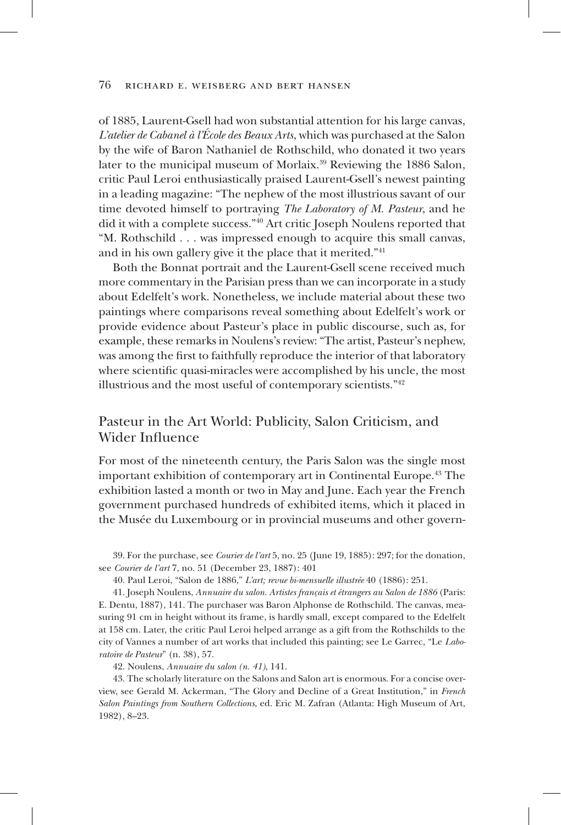of 1885, Laurent-Gsell had won substantial attention for his large canvas, *L'atelier de Cabanel à l'École des Beaux Arts*, which was purchased at the Salon by the wife of Baron Nathaniel de Rothschild, who donated it two years later to the municipal museum of Morlaix.<sup>39</sup> Reviewing the 1886 Salon, critic Paul Leroi enthusiastically praised Laurent-Gsell's newest painting in a leading magazine: "The nephew of the most illustrious savant of our time devoted himself to portraying *The Laboratory of M. Pasteur*, and he did it with a complete success."40 Art critic Joseph Noulens reported that "M. Rothschild . . . was impressed enough to acquire this small canvas, and in his own gallery give it the place that it merited."41

Both the Bonnat portrait and the Laurent-Gsell scene received much more commentary in the Parisian press than we can incorporate in a study about Edelfelt's work. Nonetheless, we include material about these two paintings where comparisons reveal something about Edelfelt's work or provide evidence about Pasteur's place in public discourse, such as, for example, these remarks in Noulens's review: "The artist, Pasteur's nephew, was among the first to faithfully reproduce the interior of that laboratory where scientific quasi-miracles were accomplished by his uncle, the most illustrious and the most useful of contemporary scientists."42

# Pasteur in the Art World: Publicity, Salon Criticism, and Wider Influence

For most of the nineteenth century, the Paris Salon was the single most important exhibition of contemporary art in Continental Europe.43 The exhibition lasted a month or two in May and June. Each year the French government purchased hundreds of exhibited items, which it placed in the Musée du Luxembourg or in provincial museums and other govern-

39. For the purchase, see *Courier de l'art* 5, no. 25 (June 19, 1885): 297; for the donation, see *Courier de l'art* 7, no. 51 (December 23, 1887): 401

40. Paul Leroi, "Salon de 1886," *L'art; revue bi-mensuelle illustrée* 40 (1886): 251.

41. Joseph Noulens, *Annuaire du salon. Artistes français et étrangers au Salon de 1886* (Paris: E. Dentu, 1887), 141. The purchaser was Baron Alphonse de Rothschild. The canvas, measuring 91 cm in height without its frame, is hardly small, except compared to the Edelfelt at 158 cm. Later, the critic Paul Leroi helped arrange as a gift from the Rothschilds to the city of Vannes a number of art works that included this painting; see Le Garrec, "Le *Laboratoire de Pasteur*" (n. 38), 57.

42. Noulens, *Annuaire du salon (n. 41)*, 141.

43. The scholarly literature on the Salons and Salon art is enormous. For a concise overview, see Gerald M. Ackerman, "The Glory and Decline of a Great Institution," in *French Salon Paintings from Southern Collections*, ed. Eric M. Zafran (Atlanta: High Museum of Art, 1982), 8–23.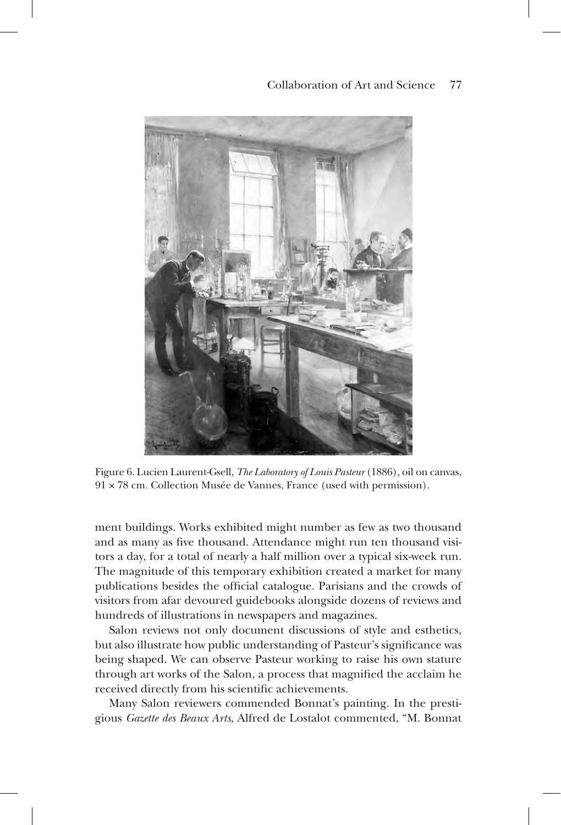## Collaboration of Art and Science 77



Figure 6. Lucien Laurent-Gsell, *The Laboratory of Louis Pasteur* (1886), oil on canvas, 91 × 78 cm. Collection Musée de Vannes, France (used with permission).

ment buildings. Works exhibited might number as few as two thousand and as many as five thousand. Attendance might run ten thousand visitors a day, for a total of nearly a half million over a typical six-week run. The magnitude of this temporary exhibition created a market for many publications besides the official catalogue. Parisians and the crowds of visitors from afar devoured guidebooks alongside dozens of reviews and hundreds of illustrations in newspapers and magazines.

Salon reviews not only document discussions of style and esthetics, but also illustrate how public understanding of Pasteur's significance was being shaped. We can observe Pasteur working to raise his own stature through art works of the Salon, a process that magnified the acclaim he received directly from his scientific achievements.

Many Salon reviewers commended Bonnat's painting. In the prestigious *Gazette des Beaux Arts*, Alfred de Lostalot commented, "M. Bonnat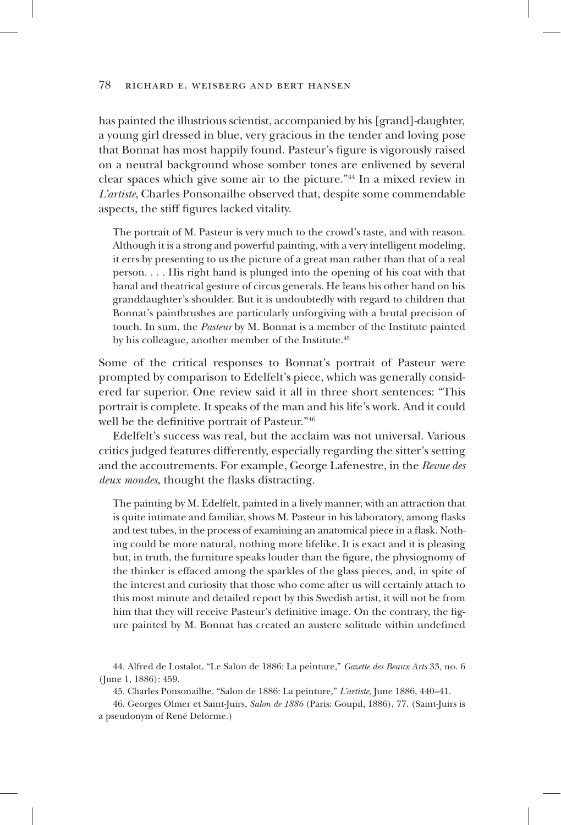has painted the illustrious scientist, accompanied by his [grand]-daughter, a young girl dressed in blue, very gracious in the tender and loving pose that Bonnat has most happily found. Pasteur's figure is vigorously raised on a neutral background whose somber tones are enlivened by several clear spaces which give some air to the picture."44 In a mixed review in *L'artiste*, Charles Ponsonailhe observed that, despite some commendable aspects, the stiff figures lacked vitality.

The portrait of M. Pasteur is very much to the crowd's taste, and with reason. Although it is a strong and powerful painting, with a very intelligent modeling, it errs by presenting to us the picture of a great man rather than that of a real person. . . . His right hand is plunged into the opening of his coat with that banal and theatrical gesture of circus generals. He leans his other hand on his granddaughter's shoulder. But it is undoubtedly with regard to children that Bonnat's paintbrushes are particularly unforgiving with a brutal precision of touch. In sum, the *Pasteur* by M. Bonnat is a member of the Institute painted by his colleague, another member of the Institute.<sup>45</sup>

Some of the critical responses to Bonnat's portrait of Pasteur were prompted by comparison to Edelfelt's piece, which was generally considered far superior. One review said it all in three short sentences: "This portrait is complete. It speaks of the man and his life's work. And it could well be the definitive portrait of Pasteur."46

Edelfelt's success was real, but the acclaim was not universal. Various critics judged features differently, especially regarding the sitter's setting and the accoutrements. For example, George Lafenestre, in the *Revue des deux mondes*, thought the flasks distracting.

The painting by M. Edelfelt, painted in a lively manner, with an attraction that is quite intimate and familiar, shows M. Pasteur in his laboratory, among flasks and test tubes, in the process of examining an anatomical piece in a flask. Nothing could be more natural, nothing more lifelike. It is exact and it is pleasing but, in truth, the furniture speaks louder than the figure, the physiognomy of the thinker is effaced among the sparkles of the glass pieces, and, in spite of the interest and curiosity that those who come after us will certainly attach to this most minute and detailed report by this Swedish artist, it will not be from him that they will receive Pasteur's definitive image. On the contrary, the figure painted by M. Bonnat has created an austere solitude within undefined

44. Alfred de Lostalot, "Le Salon de 1886: La peinture," *Gazette des Beaux Arts* 33, no. 6 (June 1, 1886): 459.

45. Charles Ponsonailhe, "Salon de 1886: La peinture," *L'artiste*, June 1886, 440–41.

46. Georges Olmer et Saint-Juirs, *Salon de 1886* (Paris: Goupil, 1886), 77. (Saint-Juirs is a pseudonym of René Delorme.)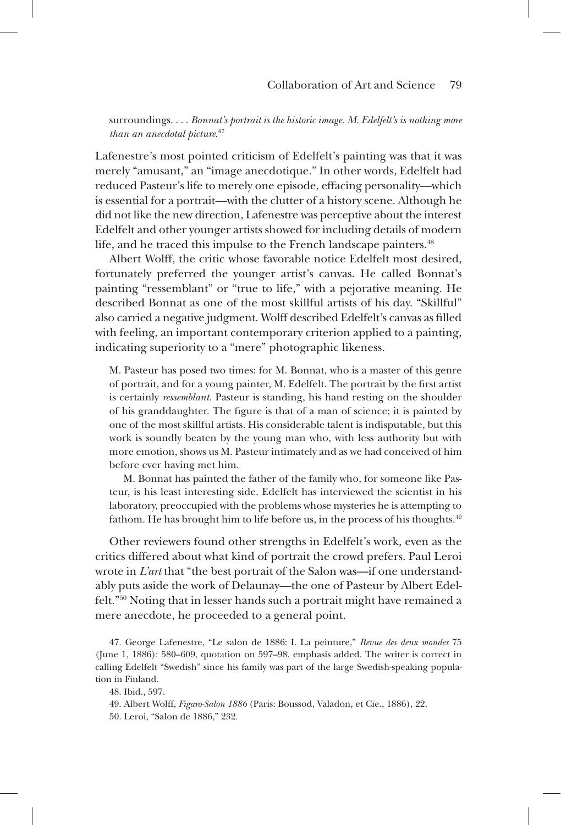surroundings. . . . *Bonnat's portrait is the historic image. M. Edelfelt's is nothing more than an anecdotal picture*. 47

Lafenestre's most pointed criticism of Edelfelt's painting was that it was merely "amusant," an "image anecdotique." In other words, Edelfelt had reduced Pasteur's life to merely one episode, effacing personality—which is essential for a portrait—with the clutter of a history scene. Although he did not like the new direction, Lafenestre was perceptive about the interest Edelfelt and other younger artists showed for including details of modern life, and he traced this impulse to the French landscape painters.<sup>48</sup>

Albert Wolff, the critic whose favorable notice Edelfelt most desired, fortunately preferred the younger artist's canvas. He called Bonnat's painting "ressemblant" or "true to life," with a pejorative meaning. He described Bonnat as one of the most skillful artists of his day. "Skillful" also carried a negative judgment. Wolff described Edelfelt's canvas as filled with feeling, an important contemporary criterion applied to a painting, indicating superiority to a "mere" photographic likeness.

M. Pasteur has posed two times: for M. Bonnat, who is a master of this genre of portrait, and for a young painter, M. Edelfelt. The portrait by the first artist is certainly *ressemblant.* Pasteur is standing, his hand resting on the shoulder of his granddaughter. The figure is that of a man of science; it is painted by one of the most skillful artists. His considerable talent is indisputable, but this work is soundly beaten by the young man who, with less authority but with more emotion, shows us M. Pasteur intimately and as we had conceived of him before ever having met him.

M. Bonnat has painted the father of the family who, for someone like Pasteur, is his least interesting side. Edelfelt has interviewed the scientist in his laboratory, preoccupied with the problems whose mysteries he is attempting to fathom. He has brought him to life before us, in the process of his thoughts.<sup>49</sup>

Other reviewers found other strengths in Edelfelt's work, even as the critics differed about what kind of portrait the crowd prefers. Paul Leroi wrote in *L'art* that "the best portrait of the Salon was—if one understandably puts aside the work of Delaunay—the one of Pasteur by Albert Edelfelt."50 Noting that in lesser hands such a portrait might have remained a mere anecdote, he proceeded to a general point.

47. George Lafenestre, "Le salon de 1886: I. La peinture," *Revue des deux mondes* 75 (June 1, 1886): 580–609, quotation on 597–98, emphasis added. The writer is correct in calling Edelfelt "Swedish" since his family was part of the large Swedish-speaking population in Finland.

48. Ibid., 597.

49. Albert Wolff, *Figaro-Salon 1886* (Paris: Boussod, Valadon, et Cie., 1886), 22.

50. Leroi, "Salon de 1886," 232.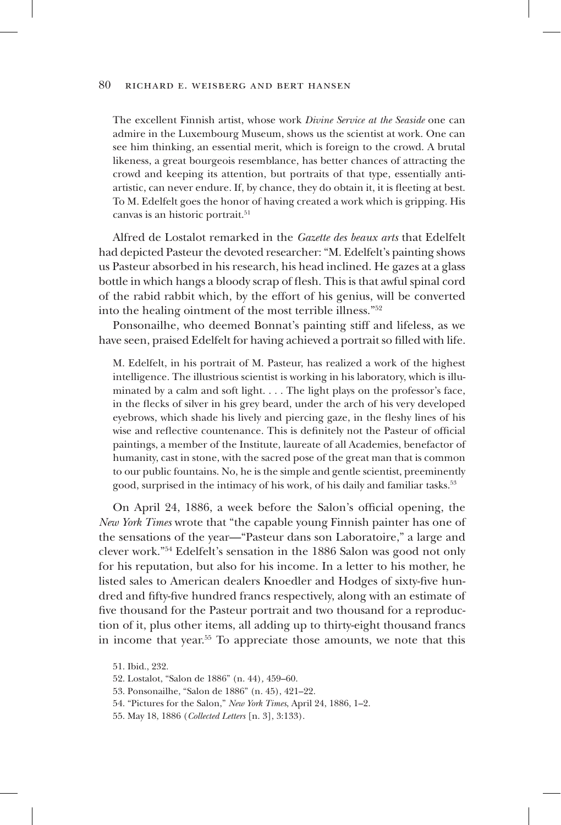The excellent Finnish artist, whose work *Divine Service at the Seaside* one can admire in the Luxembourg Museum, shows us the scientist at work. One can see him thinking, an essential merit, which is foreign to the crowd. A brutal likeness, a great bourgeois resemblance, has better chances of attracting the crowd and keeping its attention, but portraits of that type, essentially antiartistic, can never endure. If, by chance, they do obtain it, it is fleeting at best. To M. Edelfelt goes the honor of having created a work which is gripping. His canvas is an historic portrait.<sup>51</sup>

Alfred de Lostalot remarked in the *Gazette des beaux arts* that Edelfelt had depicted Pasteur the devoted researcher: "M. Edelfelt's painting shows us Pasteur absorbed in his research, his head inclined. He gazes at a glass bottle in which hangs a bloody scrap of flesh. This is that awful spinal cord of the rabid rabbit which, by the effort of his genius, will be converted into the healing ointment of the most terrible illness."52

Ponsonailhe, who deemed Bonnat's painting stiff and lifeless, as we have seen, praised Edelfelt for having achieved a portrait so filled with life.

M. Edelfelt, in his portrait of M. Pasteur, has realized a work of the highest intelligence. The illustrious scientist is working in his laboratory, which is illuminated by a calm and soft light. . . . The light plays on the professor's face, in the flecks of silver in his grey beard, under the arch of his very developed eyebrows, which shade his lively and piercing gaze, in the fleshy lines of his wise and reflective countenance. This is definitely not the Pasteur of official paintings, a member of the Institute, laureate of all Academies, benefactor of humanity, cast in stone, with the sacred pose of the great man that is common to our public fountains. No, he is the simple and gentle scientist, preeminently good, surprised in the intimacy of his work, of his daily and familiar tasks.<sup>53</sup>

On April 24, 1886, a week before the Salon's official opening, the *New York Times* wrote that "the capable young Finnish painter has one of the sensations of the year—"Pasteur dans son Laboratoire," a large and clever work."54 Edelfelt's sensation in the 1886 Salon was good not only for his reputation, but also for his income. In a letter to his mother, he listed sales to American dealers Knoedler and Hodges of sixty-five hundred and fifty-five hundred francs respectively, along with an estimate of five thousand for the Pasteur portrait and two thousand for a reproduction of it, plus other items, all adding up to thirty-eight thousand francs in income that year.55 To appreciate those amounts, we note that this

- 54. "Pictures for the Salon," *New York Times*, April 24, 1886, 1–2.
- 55. May 18, 1886 (*Collected Letters* [n. 3], 3:133).

<sup>51.</sup> Ibid., 232.

<sup>52.</sup> Lostalot, "Salon de 1886" (n. 44)*,* 459–60.

<sup>53.</sup> Ponsonailhe, "Salon de 1886" (n. 45), 421–22.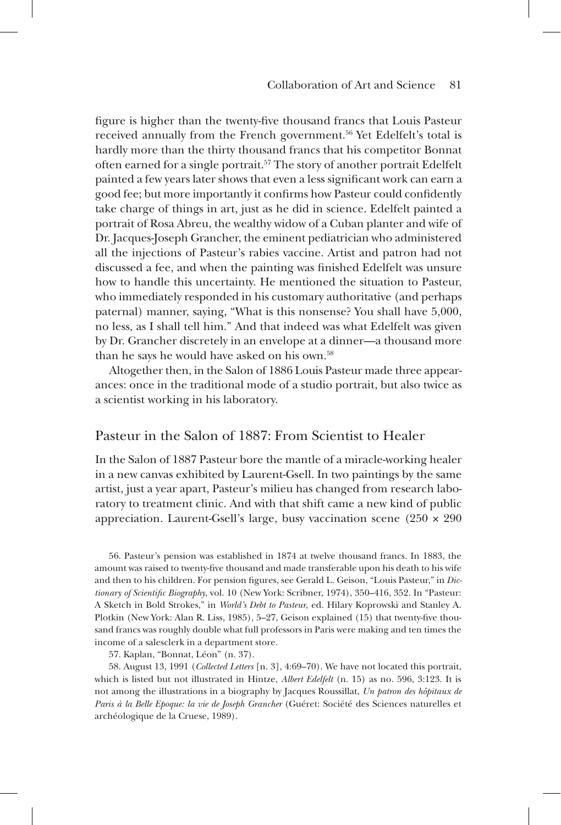figure is higher than the twenty-five thousand francs that Louis Pasteur received annually from the French government.<sup>56</sup> Yet Edelfelt's total is hardly more than the thirty thousand francs that his competitor Bonnat often earned for a single portrait.<sup>57</sup> The story of another portrait Edelfelt painted a few years later shows that even a less significant work can earn a good fee; but more importantly it confirms how Pasteur could confidently take charge of things in art, just as he did in science. Edelfelt painted a portrait of Rosa Abreu, the wealthy widow of a Cuban planter and wife of Dr. Jacques-Joseph Grancher, the eminent pediatrician who administered all the injections of Pasteur's rabies vaccine. Artist and patron had not discussed a fee, and when the painting was finished Edelfelt was unsure how to handle this uncertainty. He mentioned the situation to Pasteur, who immediately responded in his customary authoritative (and perhaps paternal) manner, saying, "What is this nonsense? You shall have 5,000, no less, as I shall tell him." And that indeed was what Edelfelt was given by Dr. Grancher discretely in an envelope at a dinner—a thousand more than he says he would have asked on his own.<sup>58</sup>

Altogether then, in the Salon of 1886 Louis Pasteur made three appearances: once in the traditional mode of a studio portrait, but also twice as a scientist working in his laboratory.

## Pasteur in the Salon of 1887: From Scientist to Healer

In the Salon of 1887 Pasteur bore the mantle of a miracle-working healer in a new canvas exhibited by Laurent-Gsell. In two paintings by the same artist, just a year apart, Pasteur's milieu has changed from research laboratory to treatment clinic. And with that shift came a new kind of public appreciation. Laurent-Gsell's large, busy vaccination scene  $(250 \times 290)$ 

56. Pasteur's pension was established in 1874 at twelve thousand francs. In 1883, the amount was raised to twenty-five thousand and made transferable upon his death to his wife and then to his children. For pension figures, see Gerald L. Geison, "Louis Pasteur," in *Dictionary of Scientific Biography*, vol. 10 (New York: Scribner, 1974), 350–416, 352. In "Pasteur: A Sketch in Bold Strokes," in *World's Debt to Pasteur*, ed. Hilary Koprowski and Stanley A. Plotkin (New York: Alan R. Liss, 1985), 5–27, Geison explained (15) that twenty-five thousand francs was roughly double what full professors in Paris were making and ten times the income of a salesclerk in a department store.

57. Kaplan, "Bonnat, Léon" (n. 37).

58. August 13, 1991 (*Collected Letters* [n. 3], 4:69–70). We have not located this portrait, which is listed but not illustrated in Hintze, *Albert Edelfelt* (n. 15) as no. 596, 3:123. It is not among the illustrations in a biography by Jacques Roussillat, *Un patron des hôpitaux de Paris à la Belle Epoque: la vie de Joseph Grancher* (Guéret: Société des Sciences naturelles et archéologique de la Cruese, 1989).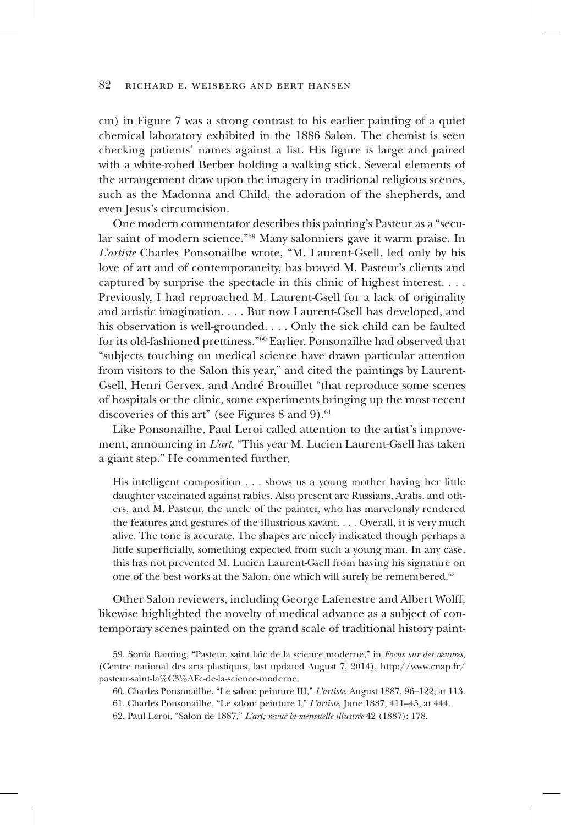cm) in Figure 7 was a strong contrast to his earlier painting of a quiet chemical laboratory exhibited in the 1886 Salon. The chemist is seen checking patients' names against a list. His figure is large and paired with a white-robed Berber holding a walking stick. Several elements of the arrangement draw upon the imagery in traditional religious scenes, such as the Madonna and Child, the adoration of the shepherds, and even Jesus's circumcision.

One modern commentator describes this painting's Pasteur as a "secular saint of modern science."59 Many salonniers gave it warm praise. In *L'artiste* Charles Ponsonailhe wrote, "M. Laurent-Gsell, led only by his love of art and of contemporaneity, has braved M. Pasteur's clients and captured by surprise the spectacle in this clinic of highest interest. . . . Previously, I had reproached M. Laurent-Gsell for a lack of originality and artistic imagination. . . . But now Laurent-Gsell has developed, and his observation is well-grounded. . . . Only the sick child can be faulted for its old-fashioned prettiness."60 Earlier, Ponsonailhe had observed that "subjects touching on medical science have drawn particular attention from visitors to the Salon this year," and cited the paintings by Laurent-Gsell, Henri Gervex, and André Brouillet "that reproduce some scenes of hospitals or the clinic, some experiments bringing up the most recent discoveries of this art" (see Figures 8 and 9). $61$ 

Like Ponsonailhe, Paul Leroi called attention to the artist's improvement, announcing in *L'art*, "This year M. Lucien Laurent-Gsell has taken a giant step." He commented further,

His intelligent composition . . . shows us a young mother having her little daughter vaccinated against rabies. Also present are Russians, Arabs, and others, and M. Pasteur, the uncle of the painter, who has marvelously rendered the features and gestures of the illustrious savant. . . . Overall, it is very much alive. The tone is accurate. The shapes are nicely indicated though perhaps a little superficially, something expected from such a young man. In any case, this has not prevented M. Lucien Laurent-Gsell from having his signature on one of the best works at the Salon, one which will surely be remembered.<sup>62</sup>

Other Salon reviewers, including George Lafenestre and Albert Wolff, likewise highlighted the novelty of medical advance as a subject of contemporary scenes painted on the grand scale of traditional history paint-

62. Paul Leroi, "Salon de 1887," *L'art; revue bi-mensuelle illustrée* 42 (1887): 178.

<sup>59.</sup> Sonia Banting, "Pasteur, saint laïc de la science moderne," in *Focus sur des oeuvres*, (Centre national des arts plastiques, last updated August 7, 2014), http://www.cnap.fr/ pasteur-saint-la%C3%AFc-de-la-science-moderne.

<sup>60.</sup> Charles Ponsonailhe, "Le salon: peinture III," *L'artiste*, August 1887, 96–122, at 113.

<sup>61.</sup> Charles Ponsonailhe, "Le salon: peinture I," *L'artiste*, June 1887, 411–45, at 444.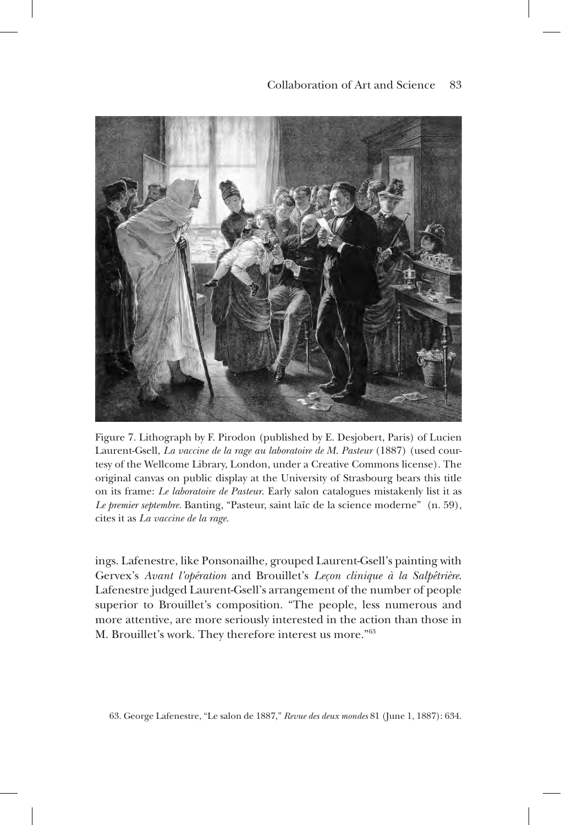

Figure 7. Lithograph by F. Pirodon (published by E. Desjobert, Paris) of Lucien Laurent-Gsell, *La vaccine de la rage au laboratoire de M. Pasteur* (1887) (used courtesy of the Wellcome Library, London, under a Creative Commons license). The original canvas on public display at the University of Strasbourg bears this title on its frame: *Le laboratoire de Pasteur*. Early salon catalogues mistakenly list it as *Le premier septembre.* Banting, "Pasteur, saint laïc de la science moderne" (n. 59), cites it as *La vaccine de la rage.*

ings. Lafenestre, like Ponsonailhe, grouped Laurent-Gsell's painting with Gervex's *Avant l'opération* and Brouillet's *Leçon clinique à la Salpêtrière*. Lafenestre judged Laurent-Gsell's arrangement of the number of people superior to Brouillet's composition. "The people, less numerous and more attentive, are more seriously interested in the action than those in M. Brouillet's work. They therefore interest us more."63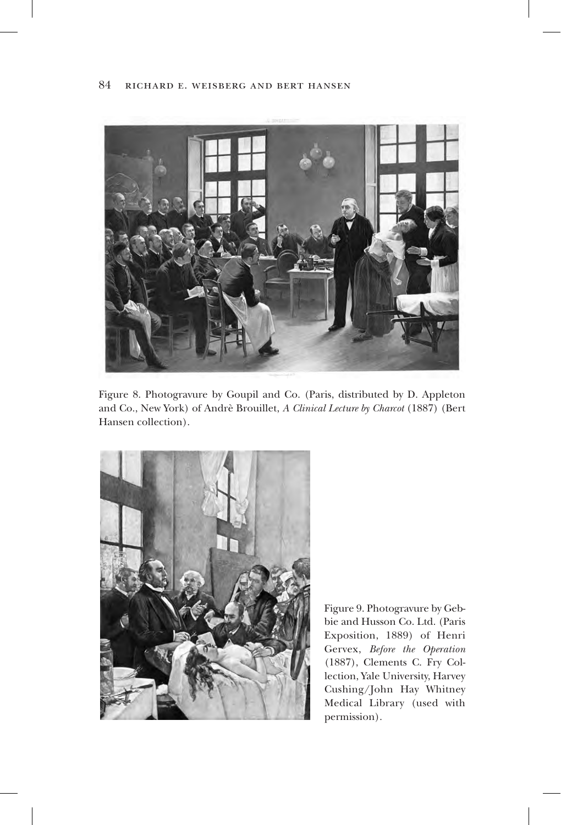

Figure 8. Photogravure by Goupil and Co. (Paris, distributed by D. Appleton and Co., New York) of Andrè Brouillet, *A Clinical Lecture by Charcot* (1887) (Bert Hansen collection).



Figure 9. Photogravure by Gebbie and Husson Co. Ltd. (Paris Exposition, 1889) of Henri Gervex, *Before the Operation* (1887), Clements C. Fry Collection, Yale University, Harvey Cushing/John Hay Whitney Medical Library (used with permission).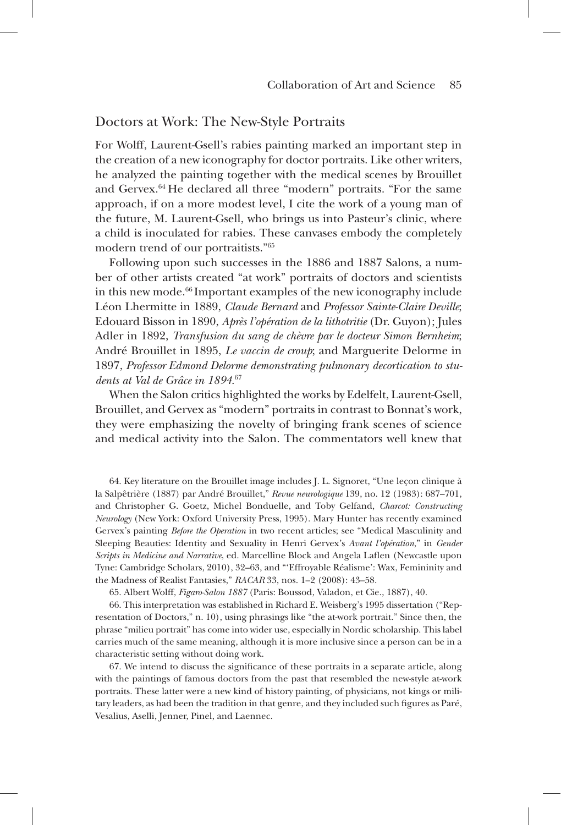## Doctors at Work: The New-Style Portraits

For Wolff, Laurent-Gsell's rabies painting marked an important step in the creation of a new iconography for doctor portraits. Like other writers, he analyzed the painting together with the medical scenes by Brouillet and Gervex.64 He declared all three "modern" portraits. "For the same approach, if on a more modest level, I cite the work of a young man of the future, M. Laurent-Gsell, who brings us into Pasteur's clinic, where a child is inoculated for rabies. These canvases embody the completely modern trend of our portraitists."65

Following upon such successes in the 1886 and 1887 Salons, a number of other artists created "at work" portraits of doctors and scientists in this new mode.66 Important examples of the new iconography include Léon Lhermitte in 1889, *Claude Bernard* and *Professor Sainte-Claire Deville*; Edouard Bisson in 1890, *Après l'opération de la lithotritie* (Dr. Guyon); Jules Adler in 1892, *Transfusion du sang de chèvre par le docteur Simon Bernheim*; André Brouillet in 1895, *Le vaccin de croup*; and Marguerite Delorme in 1897, *Professor Edmond Delorme demonstrating pulmonary decortication to students at Val de Grâce in 1894*. 67

When the Salon critics highlighted the works by Edelfelt, Laurent-Gsell, Brouillet, and Gervex as "modern" portraits in contrast to Bonnat's work, they were emphasizing the novelty of bringing frank scenes of science and medical activity into the Salon. The commentators well knew that

64. Key literature on the Brouillet image includes J. L. Signoret, "Une leçon clinique à la Salpêtrière (1887) par André Brouillet," *Revue neurologique* 139, no. 12 (1983): 687–701, and Christopher G. Goetz, Michel Bonduelle, and Toby Gelfand, *Charcot: Constructing Neurology* (New York: Oxford University Press, 1995). Mary Hunter has recently examined Gervex's painting *Before the Operation* in two recent articles; see "Medical Masculinity and Sleeping Beauties: Identity and Sexuality in Henri Gervex's *Avant l'opération*," in *Gender Scripts in Medicine and Narrative*, ed. Marcelline Block and Angela Laflen (Newcastle upon Tyne: Cambridge Scholars, 2010), 32–63, and "'Effroyable Réalisme': Wax, Femininity and the Madness of Realist Fantasies," *RACAR* 33, nos. 1–2 (2008): 43–58.

65. Albert Wolff, *Figaro-Salon 1887* (Paris: Boussod, Valadon, et Cie., 1887), 40.

66. This interpretation was established in Richard E. Weisberg's 1995 dissertation ("Representation of Doctors," n. 10), using phrasings like "the at-work portrait." Since then, the phrase "milieu portrait" has come into wider use, especially in Nordic scholarship. This label carries much of the same meaning, although it is more inclusive since a person can be in a characteristic setting without doing work.

67. We intend to discuss the significance of these portraits in a separate article, along with the paintings of famous doctors from the past that resembled the new-style at-work portraits. These latter were a new kind of history painting, of physicians, not kings or military leaders, as had been the tradition in that genre, and they included such figures as Paré, Vesalius, Aselli, Jenner, Pinel, and Laennec.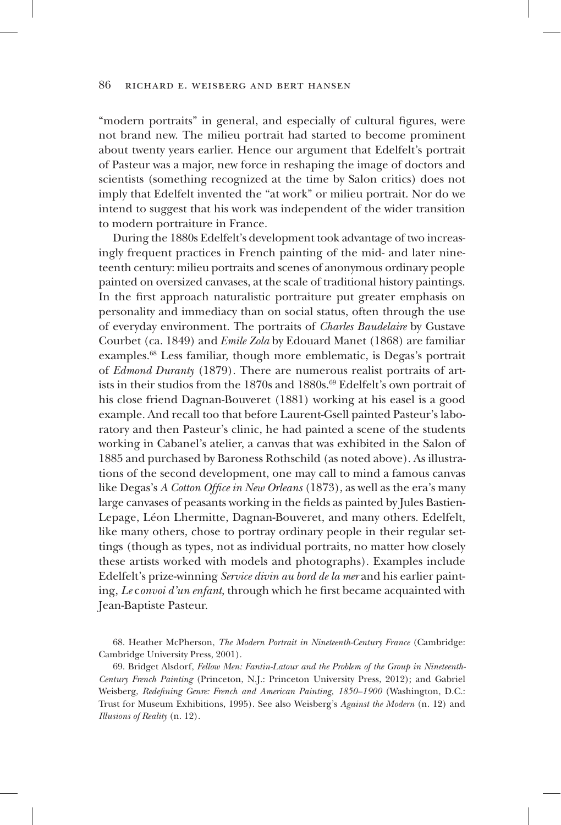"modern portraits" in general, and especially of cultural figures, were not brand new. The milieu portrait had started to become prominent about twenty years earlier. Hence our argument that Edelfelt's portrait of Pasteur was a major, new force in reshaping the image of doctors and scientists (something recognized at the time by Salon critics) does not imply that Edelfelt invented the "at work" or milieu portrait. Nor do we intend to suggest that his work was independent of the wider transition to modern portraiture in France.

During the 1880s Edelfelt's development took advantage of two increasingly frequent practices in French painting of the mid- and later nineteenth century: milieu portraits and scenes of anonymous ordinary people painted on oversized canvases, at the scale of traditional history paintings. In the first approach naturalistic portraiture put greater emphasis on personality and immediacy than on social status, often through the use of everyday environment. The portraits of *Charles Baudelaire* by Gustave Courbet (ca. 1849) and *Emile Zola* by Edouard Manet (1868) are familiar examples.68 Less familiar, though more emblematic, is Degas's portrait of *Edmond Duranty* (1879). There are numerous realist portraits of artists in their studios from the 1870s and 1880s.<sup>69</sup> Edelfelt's own portrait of his close friend Dagnan-Bouveret (1881) working at his easel is a good example. And recall too that before Laurent-Gsell painted Pasteur's laboratory and then Pasteur's clinic, he had painted a scene of the students working in Cabanel's atelier, a canvas that was exhibited in the Salon of 1885 and purchased by Baroness Rothschild (as noted above). As illustrations of the second development, one may call to mind a famous canvas like Degas's *A Cotton Office in New Orleans* (1873), as well as the era's many large canvases of peasants working in the fields as painted by Jules Bastien-Lepage, Léon Lhermitte, Dagnan-Bouveret, and many others. Edelfelt, like many others, chose to portray ordinary people in their regular settings (though as types, not as individual portraits, no matter how closely these artists worked with models and photographs). Examples include Edelfelt's prize-winning *Service divin au bord de la mer* and his earlier painting, *Le* c*onvoi d'un enfant*, through which he first became acquainted with Jean-Baptiste Pasteur.

<sup>68.</sup> Heather McPherson, *The Modern Portrait in Nineteenth-Century France* (Cambridge: Cambridge University Press, 2001).

<sup>69.</sup> Bridget Alsdorf, *Fellow Men: Fantin-Latour and the Problem of the Group in Nineteenth-Century French Painting* (Princeton, N.J.: Princeton University Press, 2012); and Gabriel Weisberg, *Redefining Genre: French and American Painting, 1850–1900* (Washington, D.C.: Trust for Museum Exhibitions, 1995). See also Weisberg's *Against the Modern* (n. 12) and *Illusions of Reality* (n. 12).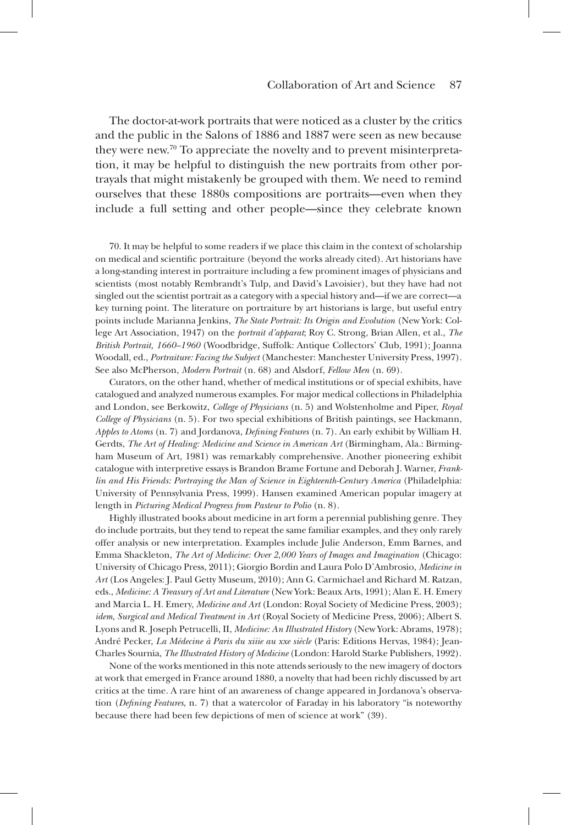The doctor-at-work portraits that were noticed as a cluster by the critics and the public in the Salons of 1886 and 1887 were seen as new because they were new.70 To appreciate the novelty and to prevent misinterpretation, it may be helpful to distinguish the new portraits from other portrayals that might mistakenly be grouped with them. We need to remind ourselves that these 1880s compositions are portraits—even when they include a full setting and other people—since they celebrate known

70. It may be helpful to some readers if we place this claim in the context of scholarship on medical and scientific portraiture (beyond the works already cited). Art historians have a long-standing interest in portraiture including a few prominent images of physicians and scientists (most notably Rembrandt's Tulp, and David's Lavoisier), but they have had not singled out the scientist portrait as a category with a special history and—if we are correct—a key turning point. The literature on portraiture by art historians is large, but useful entry points include Marianna Jenkins, *The State Portrait: Its Origin and Evolution* (New York: College Art Association, 1947) on the *portrait d'apparat*; Roy C. Strong, Brian Allen, et al., *The British Portrait, 1660–1960* (Woodbridge, Suffolk: Antique Collectors' Club, 1991); Joanna Woodall, ed., *Portraiture: Facing the Subject* (Manchester: Manchester University Press, 1997). See also McPherson, *Modern Portrait* (n. 68) and Alsdorf, *Fellow Men* (n. 69).

Curators, on the other hand, whether of medical institutions or of special exhibits, have catalogued and analyzed numerous examples. For major medical collections in Philadelphia and London, see Berkowitz, *College of Physicians* (n. 5) and Wolstenholme and Piper, *Royal College of Physicians* (n. 5). For two special exhibitions of British paintings, see Hackmann, *Apples to Atoms* (n. 7) and Jordanova, *Defining Features* (n. 7). An early exhibit by William H. Gerdts, *The Art of Healing: Medicine and Science in American Art* (Birmingham, Ala.: Birmingham Museum of Art, 1981) was remarkably comprehensive. Another pioneering exhibit catalogue with interpretive essays is Brandon Brame Fortune and Deborah J. Warner, *Franklin and His Friends: Portraying the Man of Science in Eighteenth-Century America* (Philadelphia: University of Pennsylvania Press, 1999). Hansen examined American popular imagery at length in *Picturing Medical Progress from Pasteur to Polio* (n. 8).

Highly illustrated books about medicine in art form a perennial publishing genre. They do include portraits, but they tend to repeat the same familiar examples, and they only rarely offer analysis or new interpretation. Examples include Julie Anderson, Emm Barnes, and Emma Shackleton, *The Art of Medicine: Over 2,000 Years of Images and Imagination* (Chicago: University of Chicago Press, 2011); Giorgio Bordin and Laura Polo D'Ambrosio, *Medicine in Art* (Los Angeles: J. Paul Getty Museum, 2010); Ann G. Carmichael and Richard M. Ratzan, eds., *Medicine: A Treasury of Art and Literature* (New York: Beaux Arts, 1991); Alan E. H. Emery and Marcia L. H. Emery, *Medicine and Art* (London: Royal Society of Medicine Press, 2003); *idem*, *Surgical and Medical Treatment in Art* (Royal Society of Medicine Press, 2006); Albert S. Lyons and R. Joseph Petrucelli, II, *Medicine: An Illustrated History* (New York: Abrams, 1978); André Pecker, *La Médecine à Paris du xiiie au xxe siècle* (Paris: Editions Hervas, 1984); Jean-Charles Sournia, *The Illustrated History of Medicine* (London: Harold Starke Publishers, 1992).

None of the works mentioned in this note attends seriously to the new imagery of doctors at work that emerged in France around 1880, a novelty that had been richly discussed by art critics at the time. A rare hint of an awareness of change appeared in Jordanova's observation (*Defining Features*, n. 7) that a watercolor of Faraday in his laboratory "is noteworthy because there had been few depictions of men of science at work" (39).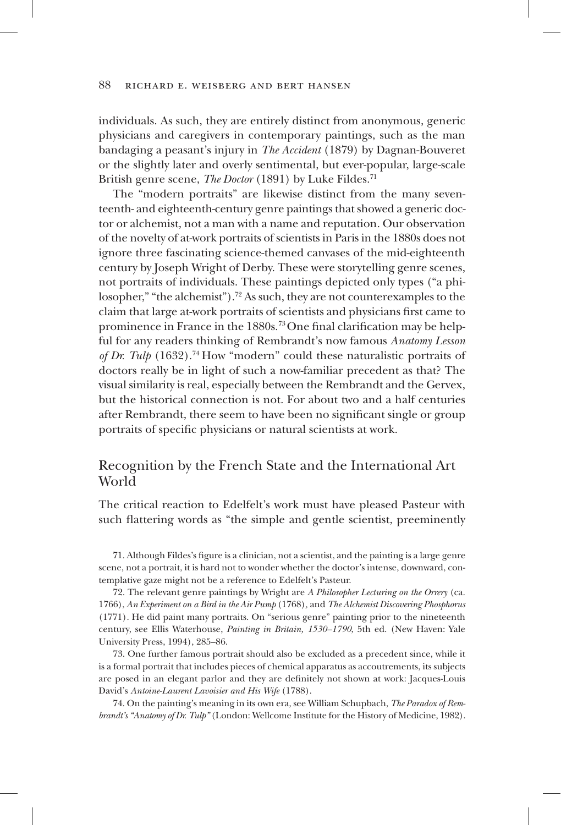individuals. As such, they are entirely distinct from anonymous, generic physicians and caregivers in contemporary paintings, such as the man bandaging a peasant's injury in *The Accident* (1879) by Dagnan-Bouveret or the slightly later and overly sentimental, but ever-popular, large-scale British genre scene, *The Doctor* (1891) by Luke Fildes.<sup>71</sup>

The "modern portraits" are likewise distinct from the many seventeenth- and eighteenth-century genre paintings that showed a generic doctor or alchemist, not a man with a name and reputation. Our observation of the novelty of at-work portraits of scientists in Paris in the 1880s does not ignore three fascinating science-themed canvases of the mid-eighteenth century by Joseph Wright of Derby. These were storytelling genre scenes, not portraits of individuals. These paintings depicted only types ("a philosopher," "the alchemist").<sup>72</sup> As such, they are not counterexamples to the claim that large at-work portraits of scientists and physicians first came to prominence in France in the 1880s.<sup>73</sup> One final clarification may be helpful for any readers thinking of Rembrandt's now famous *Anatomy Lesson of Dr. Tulp* (1632).<sup>74</sup> How "modern" could these naturalistic portraits of doctors really be in light of such a now-familiar precedent as that? The visual similarity is real, especially between the Rembrandt and the Gervex, but the historical connection is not. For about two and a half centuries after Rembrandt, there seem to have been no significant single or group portraits of specific physicians or natural scientists at work.

# Recognition by the French State and the International Art World

The critical reaction to Edelfelt's work must have pleased Pasteur with such flattering words as "the simple and gentle scientist, preeminently

71. Although Fildes's figure is a clinician, not a scientist, and the painting is a large genre scene, not a portrait, it is hard not to wonder whether the doctor's intense, downward, contemplative gaze might not be a reference to Edelfelt's Pasteur.

72. The relevant genre paintings by Wright are *A Philosopher Lecturing on the Orrery* (ca. 1766), *An Experiment on a Bird in the Air Pump* (1768)*,* and *The Alchemist Discovering Phosphorus*  (1771)*.* He did paint many portraits. On "serious genre" painting prior to the nineteenth century, see Ellis Waterhouse, *Painting in Britain, 1530–1790*, 5th ed. (New Haven: Yale University Press, 1994), 285–86.

73. One further famous portrait should also be excluded as a precedent since, while it is a formal portrait that includes pieces of chemical apparatus as accoutrements, its subjects are posed in an elegant parlor and they are definitely not shown at work: Jacques-Louis David's *Antoine-Laurent Lavoisier and His Wife* (1788).

74. On the painting's meaning in its own era, see William Schupbach, *The Paradox of Rembrandt's "Anatomy of Dr. Tulp"* (London: Wellcome Institute for the History of Medicine, 1982).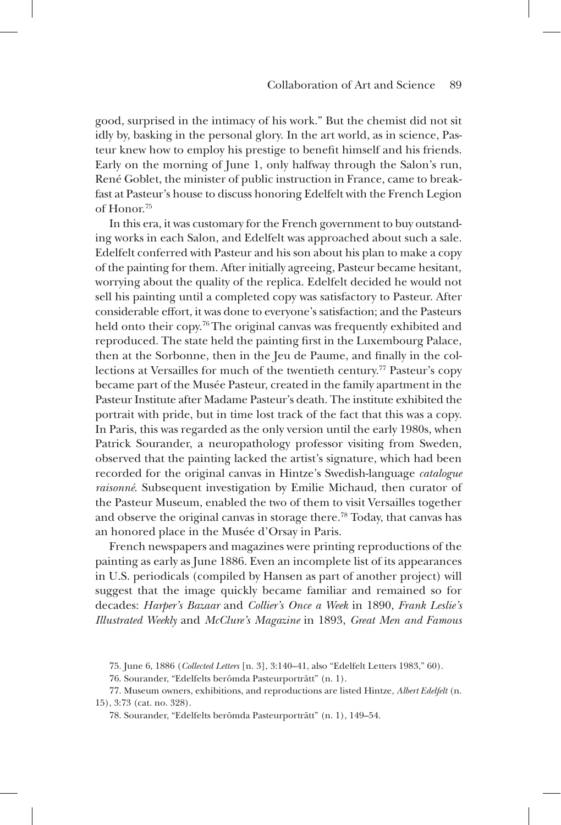good, surprised in the intimacy of his work." But the chemist did not sit idly by, basking in the personal glory. In the art world, as in science, Pasteur knew how to employ his prestige to benefit himself and his friends. Early on the morning of June 1, only halfway through the Salon's run, René Goblet, the minister of public instruction in France, came to breakfast at Pasteur's house to discuss honoring Edelfelt with the French Legion of Honor.75

In this era, it was customary for the French government to buy outstanding works in each Salon, and Edelfelt was approached about such a sale. Edelfelt conferred with Pasteur and his son about his plan to make a copy of the painting for them. After initially agreeing, Pasteur became hesitant, worrying about the quality of the replica. Edelfelt decided he would not sell his painting until a completed copy was satisfactory to Pasteur. After considerable effort, it was done to everyone's satisfaction; and the Pasteurs held onto their copy.<sup>76</sup> The original canvas was frequently exhibited and reproduced. The state held the painting first in the Luxembourg Palace, then at the Sorbonne, then in the Jeu de Paume, and finally in the collections at Versailles for much of the twentieth century.<sup>77</sup> Pasteur's copy became part of the Musée Pasteur, created in the family apartment in the Pasteur Institute after Madame Pasteur's death. The institute exhibited the portrait with pride, but in time lost track of the fact that this was a copy. In Paris, this was regarded as the only version until the early 1980s, when Patrick Sourander, a neuropathology professor visiting from Sweden, observed that the painting lacked the artist's signature, which had been recorded for the original canvas in Hintze's Swedish-language *catalogue raisonné*. Subsequent investigation by Emilie Michaud, then curator of the Pasteur Museum, enabled the two of them to visit Versailles together and observe the original canvas in storage there.<sup>78</sup> Today, that canvas has an honored place in the Musée d'Orsay in Paris.

French newspapers and magazines were printing reproductions of the painting as early as June 1886. Even an incomplete list of its appearances in U.S. periodicals (compiled by Hansen as part of another project) will suggest that the image quickly became familiar and remained so for decades: *Harper's Bazaar* and *Collier's Once a Week* in 1890, *Frank Leslie's Illustrated Weekly* and *McClure's Magazine* in 1893, *Great Men and Famous* 

<sup>75.</sup> June 6, 1886 (*Collected Letters* [n. 3], 3:140–41, also "Edelfelt Letters 1983," 60).

<sup>76.</sup> Sourander, "Edelfelts berömda Pasteurporträtt" (n. 1).

<sup>77.</sup> Museum owners, exhibitions, and reproductions are listed Hintze, *Albert Edelfelt* (n. 15), 3:73 (cat. no. 328).

<sup>78.</sup> Sourander, "Edelfelts berömda Pasteurporträtt" (n. 1), 149–54.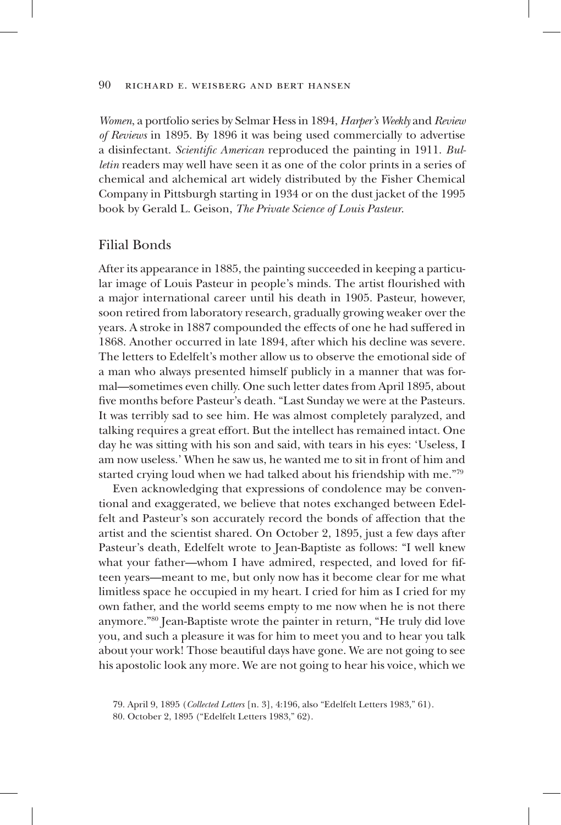*Women*, a portfolio series by Selmar Hess in 1894, *Harper's Weekly* and *Review of Reviews* in 1895. By 1896 it was being used commercially to advertise a disinfectant. *Scientific American* reproduced the painting in 1911. *Bulletin* readers may well have seen it as one of the color prints in a series of chemical and alchemical art widely distributed by the Fisher Chemical Company in Pittsburgh starting in 1934 or on the dust jacket of the 1995 book by Gerald L. Geison, *The Private Science of Louis Pasteur*.

## Filial Bonds

After its appearance in 1885, the painting succeeded in keeping a particular image of Louis Pasteur in people's minds. The artist flourished with a major international career until his death in 1905. Pasteur, however, soon retired from laboratory research, gradually growing weaker over the years. A stroke in 1887 compounded the effects of one he had suffered in 1868. Another occurred in late 1894, after which his decline was severe. The letters to Edelfelt's mother allow us to observe the emotional side of a man who always presented himself publicly in a manner that was formal—sometimes even chilly. One such letter dates from April 1895, about five months before Pasteur's death. "Last Sunday we were at the Pasteurs. It was terribly sad to see him. He was almost completely paralyzed, and talking requires a great effort. But the intellect has remained intact. One day he was sitting with his son and said, with tears in his eyes: 'Useless, I am now useless.' When he saw us, he wanted me to sit in front of him and started crying loud when we had talked about his friendship with me."79

Even acknowledging that expressions of condolence may be conventional and exaggerated, we believe that notes exchanged between Edelfelt and Pasteur's son accurately record the bonds of affection that the artist and the scientist shared. On October 2, 1895, just a few days after Pasteur's death, Edelfelt wrote to Jean-Baptiste as follows: "I well knew what your father—whom I have admired, respected, and loved for fifteen years—meant to me, but only now has it become clear for me what limitless space he occupied in my heart. I cried for him as I cried for my own father, and the world seems empty to me now when he is not there anymore."80 Jean-Baptiste wrote the painter in return, "He truly did love you, and such a pleasure it was for him to meet you and to hear you talk about your work! Those beautiful days have gone. We are not going to see his apostolic look any more. We are not going to hear his voice, which we

<sup>79.</sup> April 9, 1895 (*Collected Letters* [n. 3], 4:196, also "Edelfelt Letters 1983," 61).

<sup>80.</sup> October 2, 1895 ("Edelfelt Letters 1983," 62).